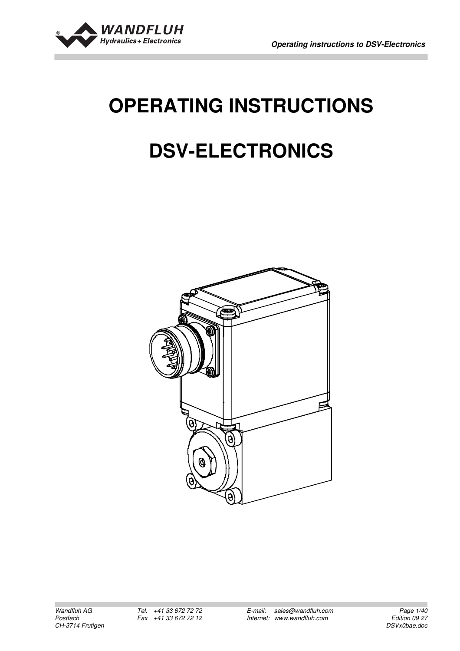

# **OPERATING INSTRUCTIONS**

## **DSV-ELECTRONICS**

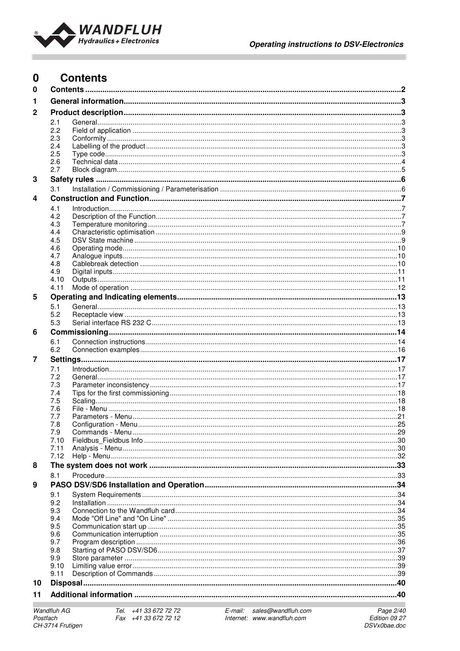

#### $\bf{0}$ **Contents**  $\mathbf 0$  $\mathbf{1}$  $\overline{2}$  $2.1$ 22  $2.3$  $2.4$  $25$  $2.6$  $2.7$ 3  $3.1$  $\overline{a}$  $4.1$  $4.2$  $4.3$  $44$  $4.5$  $4.6$  $4.7$  $\overline{AB}$ 4.9  $4.10$ 4.11 5  $5.1$ 52 5.3 6  $61$  $6.2$  $\overline{7}$  $71$  $7.2$  $7.3$  $74$  $7.5$  $76$  $7.7$  $7.8$  $7.9$  $7.10$  $711$  $7.12$ 8  $R<sub>1</sub>$ 9  $9<sub>1</sub>$ 92 <u>Installation</u> 34 9.3 9.4  $9<sub>5</sub>$ 9.6 9.7  $9R$ 9.9  $910$ 9 1 1  $10$  $11$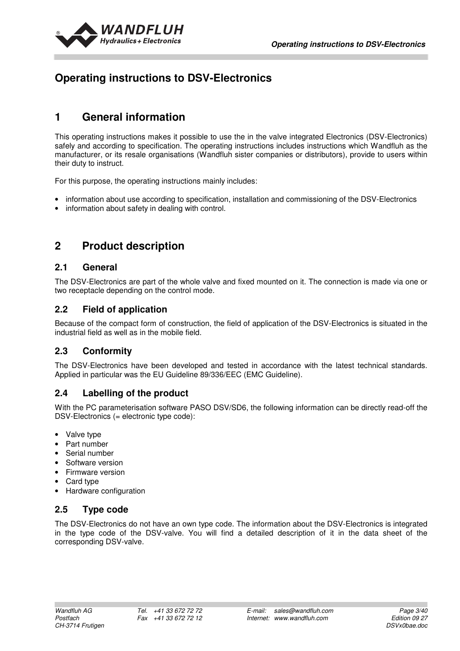

## **Operating instructions to DSV-Electronics**

## **1 General information**

This operating instructions makes it possible to use the in the valve integrated Electronics (DSV-Electronics) safely and according to specification. The operating instructions includes instructions which Wandfluh as the manufacturer, or its resale organisations (Wandfluh sister companies or distributors), provide to users within their duty to instruct.

For this purpose, the operating instructions mainly includes:

- information about use according to specification, installation and commissioning of the DSV-Electronics
- information about safety in dealing with control.

## **2 Product description**

## **2.1 General**

The DSV-Electronics are part of the whole valve and fixed mounted on it. The connection is made via one or two receptacle depending on the control mode.

## **2.2 Field of application**

Because of the compact form of construction, the field of application of the DSV-Electronics is situated in the industrial field as well as in the mobile field.

## **2.3 Conformity**

The DSV-Electronics have been developed and tested in accordance with the latest technical standards. Applied in particular was the EU Guideline 89/336/EEC (EMC Guideline).

## **2.4 Labelling of the product**

With the PC parameterisation software PASO DSV/SD6, the following information can be directly read-off the DSV-Electronics (= electronic type code):

- Valve type
- Part number
- Serial number
- Software version
- Firmware version
- Card type
- Hardware configuration

## **2.5 Type code**

The DSV-Electronics do not have an own type code. The information about the DSV-Electronics is integrated in the type code of the DSV-valve. You will find a detailed description of it in the data sheet of the corresponding DSV-valve.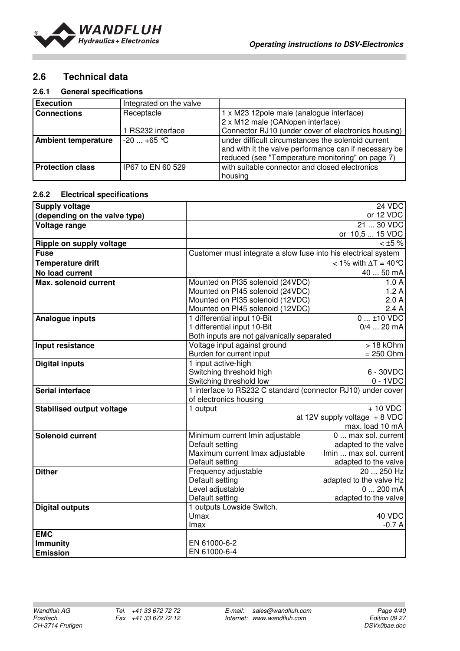

## **2.6 Technical data**

#### **2.6.1 General specifications**

| <b>Execution</b>           | Integrated on the valve |                                                       |
|----------------------------|-------------------------|-------------------------------------------------------|
| <b>Connections</b>         | Receptacle              | 1 x M23 12pole male (analogue interface)              |
|                            |                         | 2 x M12 male (CANopen interface)                      |
|                            | I RS232 interface       | Connector RJ10 (under cover of electronics housing)   |
| <b>Ambient temperature</b> | $-20+65$ °C             | under difficult circumstances the solenoid current    |
|                            |                         | and with it the valve performance can if necessary be |
|                            |                         | reduced (see "Temperature monitoring" on page 7)      |
| <b>Protection class</b>    | IP67 to EN 60 529       | with suitable connector and closed electronics        |
|                            |                         | housing                                               |

#### **2.6.2 Electrical specifications**

| <b>Supply voltage</b>            |                                                                | 24 VDC                                      |
|----------------------------------|----------------------------------------------------------------|---------------------------------------------|
| (depending on the valve type)    |                                                                | or 12 VDC                                   |
| Voltage range                    |                                                                | 21  30 VDC                                  |
|                                  |                                                                | or 10,5  15 VDC                             |
| Ripple on supply voltage         |                                                                | $<$ ±5 %                                    |
| <b>Fuse</b>                      | Customer must integrate a slow fuse into his electrical system |                                             |
| <b>Temperature drift</b>         |                                                                | < 1% with $\Delta T = 40$ °C                |
| No load current                  |                                                                | 40  50 mA                                   |
| Max. solenoid current            | Mounted on PI35 solenoid (24VDC)                               | 1.0A                                        |
|                                  | Mounted on PI45 solenoid (24VDC)                               | 1.2A                                        |
|                                  | Mounted on PI35 solenoid (12VDC)                               | 2.0A                                        |
|                                  | Mounted on PI45 solenoid (12VDC)                               | 2.4A                                        |
| Analogue inputs                  | 1 differential input 10-Bit                                    | $0$ ±10 VDC                                 |
|                                  | 1 differential input 10-Bit                                    | $0/4$ 20 mA                                 |
|                                  | Both inputs are not galvanically separated                     |                                             |
| Input resistance                 | Voltage input against ground                                   | $>18$ kOhm                                  |
|                                  | Burden for current input                                       | $= 250$ Ohm                                 |
| <b>Digital inputs</b>            | 1 input active-high                                            |                                             |
|                                  | Switching threshold high                                       | 6 - 30VDC                                   |
|                                  | Switching threshold low                                        | $0 - 1$ VDC                                 |
| <b>Serial interface</b>          | 1 interface to RS232 C standard (connector RJ10) under cover   |                                             |
|                                  | of electronics housing                                         |                                             |
| <b>Stabilised output voltage</b> | 1 output                                                       | $+10$ VDC                                   |
|                                  |                                                                | at 12V supply voltage $+8$ VDC              |
| <b>Solenoid current</b>          |                                                                | max. load 10 mA                             |
|                                  | Minimum current Imin adjustable<br>Default setting             | 0  max sol. current<br>adapted to the valve |
|                                  | Maximum current Imax adjustable                                | Imin  max sol. current                      |
|                                  | Default setting                                                | adapted to the valve                        |
| <b>Dither</b>                    | Frequency adjustable                                           | 20  250 Hz                                  |
|                                  | Default setting                                                | adapted to the valve Hz                     |
|                                  | Level adjustable                                               | $0200$ mA                                   |
|                                  | Default setting                                                | adapted to the valve                        |
| <b>Digital outputs</b>           | 1 outputs Lowside Switch.                                      |                                             |
|                                  | Umax                                                           | 40 VDC                                      |
|                                  | Imax                                                           | $-0.7A$                                     |
| <b>EMC</b>                       |                                                                |                                             |
| <b>Immunity</b>                  | EN 61000-6-2                                                   |                                             |
| <b>Emission</b>                  | EN 61000-6-4                                                   |                                             |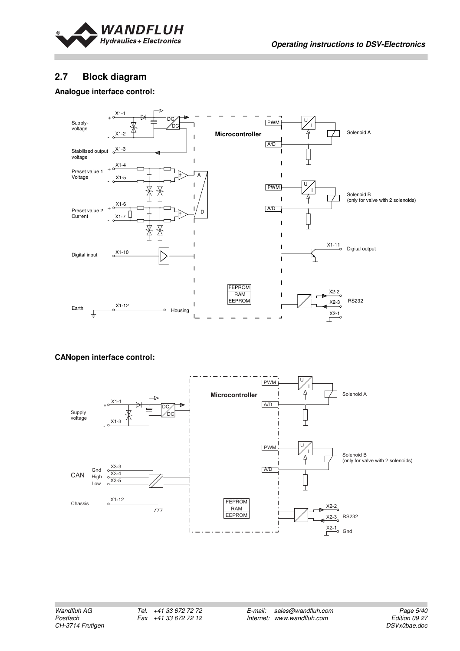

## **2.7 Block diagram**

#### **Analogue interface control:**



#### **CANopen interface control:**

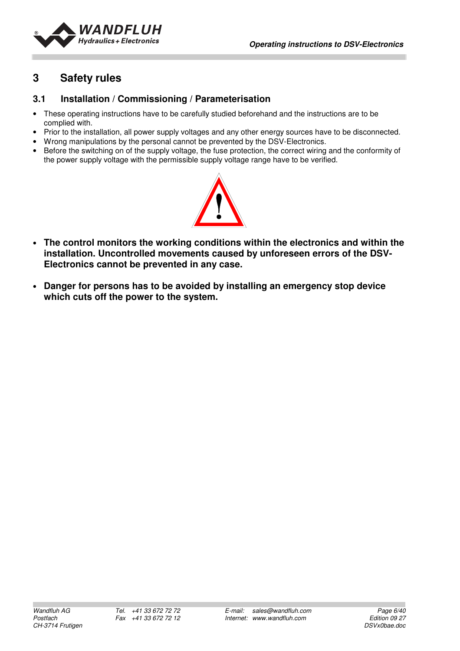

## **3 Safety rules**

## **3.1 Installation / Commissioning / Parameterisation**

- These operating instructions have to be carefully studied beforehand and the instructions are to be complied with.
- Prior to the installation, all power supply voltages and any other energy sources have to be disconnected.
- Wrong manipulations by the personal cannot be prevented by the DSV-Electronics.
- Before the switching on of the supply voltage, the fuse protection, the correct wiring and the conformity of the power supply voltage with the permissible supply voltage range have to be verified.



- **The control monitors the working conditions within the electronics and within the installation. Uncontrolled movements caused by unforeseen errors of the DSV-Electronics cannot be prevented in any case.**
- **Danger for persons has to be avoided by installing an emergency stop device which cuts off the power to the system.**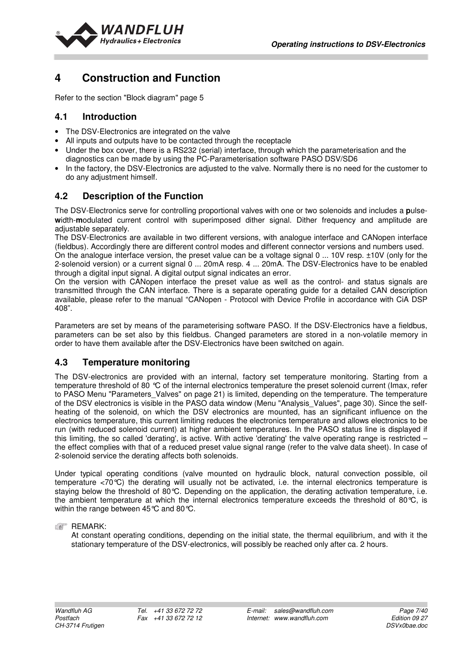

## **4 Construction and Function**

Refer to the section "Block diagram" page 5

## **4.1 Introduction**

- The DSV-Electronics are integrated on the valve
- All inputs and outputs have to be contacted through the receptacle
- Under the box cover, there is a RS232 (serial) interface, through which the parameterisation and the diagnostics can be made by using the PC-Parameterisation software PASO DSV/SD6
- In the factory, the DSV-Electronics are adjusted to the valve. Normally there is no need for the customer to do any adjustment himself.

## **4.2 Description of the Function**

The DSV-Electronics serve for controlling proportional valves with one or two solenoids and includes a **p**ulse**w**idth-**m**odulated current control with superimposed dither signal. Dither frequency and amplitude are adjustable separately.

The DSV-Electronics are available in two different versions, with analogue interface and CANopen interface (fieldbus). Accordingly there are different control modes and different connector versions and numbers used.

On the analogue interface version, the preset value can be a voltage signal 0 ... 10V resp. ±10V (only for the 2-solenoid version) or a current signal 0 ... 20mA resp. 4 ... 20mA. The DSV-Electronics have to be enabled through a digital input signal. A digital output signal indicates an error.

On the version with CANopen interface the preset value as well as the control- and status signals are transmitted through the CAN interface. There is a separate operating guide for a detailed CAN description available, please refer to the manual "CANopen - Protocol with Device Profile in accordance with CiA DSP 408".

Parameters are set by means of the parameterising software PASO. If the DSV-Electronics have a fieldbus, parameters can be set also by this fieldbus. Changed parameters are stored in a non-volatile memory in order to have them available after the DSV-Electronics have been switched on again.

## **4.3 Temperature monitoring**

The DSV-electronics are provided with an internal, factory set temperature monitoring. Starting from a temperature threshold of 80 °C of the internal electronics temperature the preset solenoid current (Imax, refer to PASO Menu "Parameters Valves" on page 21) is limited, depending on the temperature. The temperature of the DSV electronics is visible in the PASO data window (Menu "Analysis\_Values", page 30). Since the selfheating of the solenoid, on which the DSV electronics are mounted, has an significant influence on the electronics temperature, this current limiting reduces the electronics temperature and allows electronics to be run (with reduced solenoid current) at higher ambient temperatures. In the PASO status line is displayed if this limiting, the so called 'derating', is active. With active 'derating' the valve operating range is restricted – the effect complies with that of a reduced preset value signal range (refer to the valve data sheet). In case of 2-solenoid service the derating affects both solenoids.

Under typical operating conditions (valve mounted on hydraulic block, natural convection possible, oil temperature <70°C) the derating will usually not be activated, i.e. the internal electronics temperature is staving below the threshold of 80°C. Depending on the application, the derating activation temperature, i.e. the ambient temperature at which the internal electronics temperature exceeds the threshold of 80°C, is within the range between 45℃ and 80℃.

**EXERGEMARK:** 

At constant operating conditions, depending on the initial state, the thermal equilibrium, and with it the stationary temperature of the DSV-electronics, will possibly be reached only after ca. 2 hours.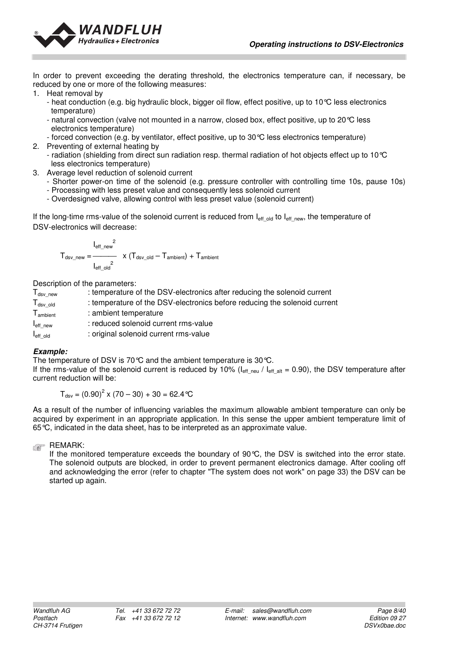

In order to prevent exceeding the derating threshold, the electronics temperature can, if necessary, be reduced by one or more of the following measures:

- 1. Heat removal by
	- heat conduction (e.g. big hydraulic block, bigger oil flow, effect positive, up to 10°C less electronics temperature)
	- natural convection (valve not mounted in a narrow, closed box, effect positive, up to 20°C less electronics temperature)
	- forced convection (e.g. by ventilator, effect positive, up to 30°C less electronics temperature)
- 2. Preventing of external heating by - radiation (shielding from direct sun radiation resp. thermal radiation of hot objects effect up to 10°C less electronics temperature)
- 3. Average level reduction of solenoid current
	- Shorter power-on time of the solenoid (e.g. pressure controller with controlling time 10s, pause 10s)
	- Processing with less preset value and consequently less solenoid current
	- Overdesigned valve, allowing control with less preset value (solenoid current)

If the long-time rms-value of the solenoid current is reduced from  $I_{\text{eff}}$  old to  $I_{\text{eff}}$  new, the temperature of DSV-electronics will decrease:

$$
T_{dsv\_new} = \frac{I_{eff\_new}^{2}}{I_{eff\_old}^{2}} \times (T_{dsv\_old} - T_{ambient}) + T_{ambient}
$$

Description of the parameters:

 $T_{\text{dsv\_new}}$  : temperature of the DSV-electronics after reducing the solenoid current  $T_{\text{dsv-old}}$  : temperature of the DSV-electronics before reducing the solenoid current T<sub>ambient</sub> : ambient temperature  $I<sub>eff new</sub>$  : reduced solenoid current rms-value I<sub>effold</sub> : original solenoid current rms-value

#### **Example:**

The temperature of DSV is 70°C and the ambient temperature is 30°C.

If the rms-value of the solenoid current is reduced by 10% ( $I_{eff}$ <sub>neu</sub> /  $I_{eff}$ <sub>alt</sub> = 0.90), the DSV temperature after current reduction will be:

 $T_{dsv} = (0.90)^2 \times (70 - 30) + 30 = 62.4 \text{ °C}$ 

As a result of the number of influencing variables the maximum allowable ambient temperature can only be acquired by experiment in an appropriate application. In this sense the upper ambient temperature limit of 65°C, indicated in the data sheet, has to be interpreted as an approximate value.

#### **REMARK:**

If the monitored temperature exceeds the boundary of 90°C, the DSV is switched into the error state. The solenoid outputs are blocked, in order to prevent permanent electronics damage. After cooling off and acknowledging the error (refer to chapter "The system does not work" on page 33) the DSV can be started up again.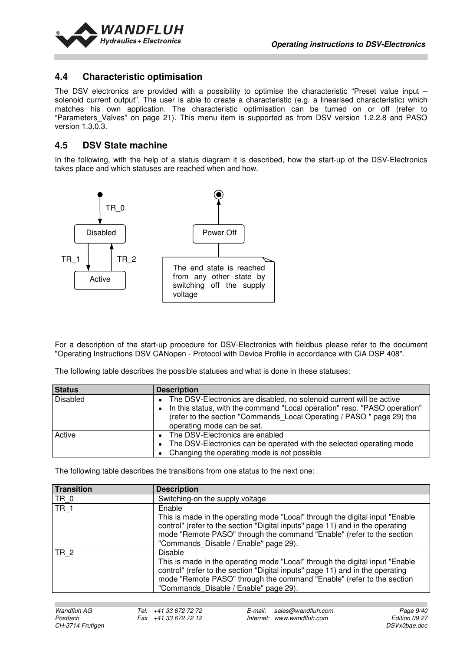

#### **4.4 Characteristic optimisation**

The DSV electronics are provided with a possibility to optimise the characteristic "Preset value input – solenoid current output". The user is able to create a characteristic (e.g. a linearised characteristic) which matches his own application. The characteristic optimisation can be turned on or off (refer to "Parameters\_Valves" on page 21). This menu item is supported as from DSV version 1.2.2.8 and PASO version 1.3.0.3.

#### **4.5 DSV State machine**

In the following, with the help of a status diagram it is described, how the start-up of the DSV-Electronics takes place and which statuses are reached when and how.



For a description of the start-up procedure for DSV-Electronics with fieldbus please refer to the document "Operating Instructions DSV CANopen - Protocol with Device Profile in accordance with CiA DSP 408".

The following table describes the possible statuses and what is done in these statuses:

| <b>Status</b>   | <b>Description</b>                                                                                                                                                                                                                                         |
|-----------------|------------------------------------------------------------------------------------------------------------------------------------------------------------------------------------------------------------------------------------------------------------|
| <b>Disabled</b> | The DSV-Electronics are disabled, no solenoid current will be active<br>• In this status, with the command "Local operation" resp. "PASO operation"<br>(refer to the section "Commands Local Operating / PASO " page 29) the<br>operating mode can be set. |
| Active          | The DSV-Electronics are enabled<br>• The DSV-Electronics can be operated with the selected operating mode<br>Changing the operating mode is not possible                                                                                                   |

The following table describes the transitions from one status to the next one:

| Transition      | <b>Description</b>                                                                                                                                                                                                                                                                                 |
|-----------------|----------------------------------------------------------------------------------------------------------------------------------------------------------------------------------------------------------------------------------------------------------------------------------------------------|
| TR <sub>0</sub> | Switching-on the supply voltage                                                                                                                                                                                                                                                                    |
| <b>TR 1</b>     | Enable<br>This is made in the operating mode "Local" through the digital input "Enable"<br>control" (refer to the section "Digital inputs" page 11) and in the operating<br>mode "Remote PASO" through the command "Enable" (refer to the section<br>"Commands Disable / Enable" page 29).         |
| <b>TR 2</b>     | <b>Disable</b><br>This is made in the operating mode "Local" through the digital input "Enable"<br>control" (refer to the section "Digital inputs" page 11) and in the operating<br>mode "Remote PASO" through the command "Enable" (refer to the section<br>"Commands Disable / Enable" page 29). |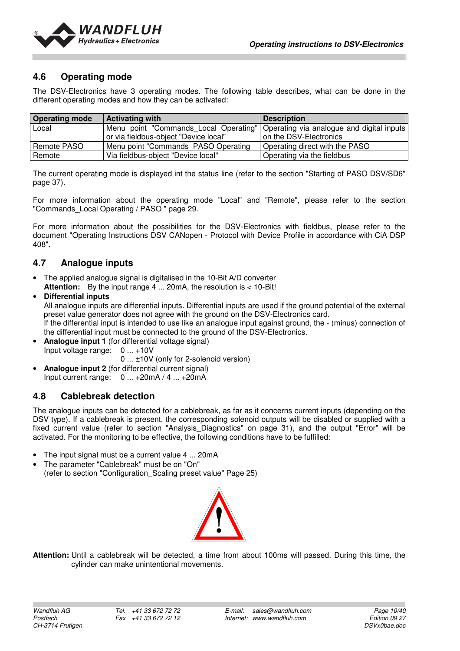

## **4.6 Operating mode**

The DSV-Electronics have 3 operating modes. The following table describes, what can be done in the different operating modes and how they can be activated:

| <b>Operating mode</b> | <b>Activating with</b>                                                                                                     | <b>Description</b>             |
|-----------------------|----------------------------------------------------------------------------------------------------------------------------|--------------------------------|
| Local                 | Menu point "Commands Local Operating"   Operating via analogue and digital inputs<br>or via fieldbus-object "Device local" | on the DSV-Electronics         |
| Remote PASO           | Menu point "Commands PASO Operating                                                                                        | Operating direct with the PASO |
| Remote                | Via fieldbus-object "Device local"                                                                                         | Operating via the fieldbus     |

The current operating mode is displayed int the status line (refer to the section "Starting of PASO DSV/SD6" page 37).

For more information about the operating mode "Local" and "Remote", please refer to the section "Commands Local Operating / PASO " page 29.

For more information about the possibilities for the DSV-Electronics with fieldbus, please refer to the document "Operating Instructions DSV CANopen - Protocol with Device Profile in accordance with CiA DSP 408".

## **4.7 Analogue inputs**

The applied analogue signal is digitalised in the 10-Bit A/D converter **Attention:** By the input range 4 ... 20mA, the resolution is < 10-Bit!

#### • **Differential inputs**

All analogue inputs are differential inputs. Differential inputs are used if the ground potential of the external preset value generator does not agree with the ground on the DSV-Electronics card. If the differential input is intended to use like an analogue input against ground, the - (minus) connection of the differential input must be connected to the ground of the DSV-Electronics.

**Analogue input 1** (for differential voltage signal) Input voltage range: 0 ... +10V

 0 ... ±10V (only for 2-solenoid version) • **Analogue input 2** (for differential current signal)

Input current range: 0 ... +20mA / 4 ... +20mA

## **4.8 Cablebreak detection**

The analogue inputs can be detected for a cablebreak, as far as it concerns current inputs (depending on the DSV type). If a cablebreak is present, the corresponding solenoid outputs will be disabled or supplied with a fixed current value (refer to section "Analysis Diagnostics" on page 31), and the output "Error" will be activated. For the monitoring to be effective, the following conditions have to be fulfilled:

- The input signal must be a current value 4 ... 20mA
- The parameter "Cablebreak" must be on "On" (refer to section "Configuration\_Scaling preset value" Page 25)



**Attention:** Until a cablebreak will be detected, a time from about 100ms will passed. During this time, the cylinder can make unintentional movements.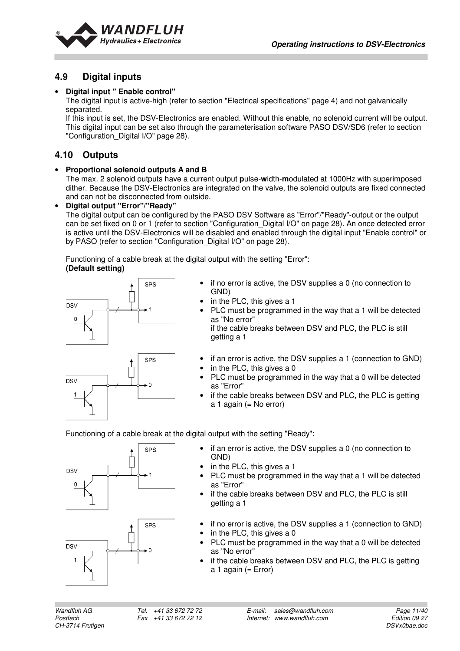

## **4.9 Digital inputs**

#### • **Digital input " Enable control"**

The digital input is active-high (refer to section "Electrical specifications" page 4) and not galvanically separated.

If this input is set, the DSV-Electronics are enabled. Without this enable, no solenoid current will be output. This digital input can be set also through the parameterisation software PASO DSV/SD6 (refer to section "Configuration Digital I/O" page 28).

## **4.10 Outputs**

#### • **Proportional solenoid outputs A and B**

The max. 2 solenoid outputs have a current output **p**ulse-**w**idth-**m**odulated at 1000Hz with superimposed dither. Because the DSV-Electronics are integrated on the valve, the solenoid outputs are fixed connected and can not be disconnected from outside.

#### • **Digital output "Error"/"Ready"**

The digital output can be configured by the PASO DSV Software as "Error"/"Ready"-output or the output can be set fixed on 0 or 1 (refer to section "Configuration\_Digital I/O" on page 28). An once detected error is active until the DSV-Electronics will be disabled and enabled through the digital input "Enable control" or by PASO (refer to section "Configuration Digital I/O" on page 28).

Functioning of a cable break at the digital output with the setting "Error":  **(Default setting)** 



- if no error is active, the DSV supplies a 0 (no connection to GND)
- in the PLC, this gives a 1
- PLC must be programmed in the way that a 1 will be detected as "No error" if the cable breaks between DSV and PLC, the PLC is still

getting a 1

- if an error is active, the DSV supplies a 1 (connection to GND)
- in the PLC, this gives a 0
- PLC must be programmed in the way that a 0 will be detected as "Error"
- if the cable breaks between DSV and PLC, the PLC is getting  $a$  1 again (= No error)

Functioning of a cable break at the digital output with the setting "Ready":





- if an error is active, the DSV supplies a 0 (no connection to GND)
- in the PLC, this gives a 1
- PLC must be programmed in the way that a 1 will be detected as "Error"
- if the cable breaks between DSV and PLC, the PLC is still getting a 1
- if no error is active, the DSV supplies a 1 (connection to GND)
- in the PLC, this gives a 0
- PLC must be programmed in the way that a 0 will be detected as "No error"
- if the cable breaks between DSV and PLC, the PLC is getting a 1 again  $(= Error)$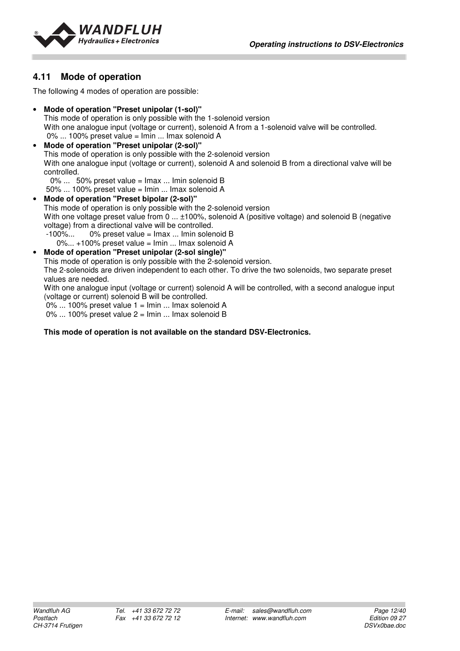

## **4.11 Mode of operation**

The following 4 modes of operation are possible:

- **Mode of operation "Preset unipolar (1-sol)"**  This mode of operation is only possible with the 1-solenoid version With one analogue input (voltage or current), solenoid A from a 1-solenoid valve will be controlled. 0% ... 100% preset value = Imin ... Imax solenoid A
- **Mode of operation "Preset unipolar (2-sol)"**  This mode of operation is only possible with the 2-solenoid version With one analogue input (voltage or current), solenoid A and solenoid B from a directional valve will be controlled.
	- 0% ... 50% preset value = Imax ... Imin solenoid B
	- 50% ... 100% preset value = Imin ... Imax solenoid A
- **Mode of operation "Preset bipolar (2-sol)"**  This mode of operation is only possible with the 2-solenoid version With one voltage preset value from 0 ...  $\pm 100\%$ , solenoid A (positive voltage) and solenoid B (negative voltage) from a directional valve will be controlled.  $-100\%...$  0% preset value =  $\text{Imax}...$  Imin solenoid B

0%... +100% preset value = Imin ... Imax solenoid A

#### • **Mode of operation "Preset unipolar (2-sol single)"**

This mode of operation is only possible with the 2-solenoid version.

The 2-solenoids are driven independent to each other. To drive the two solenoids, two separate preset values are needed.

With one analogue input (voltage or current) solenoid A will be controlled, with a second analogue input (voltage or current) solenoid B will be controlled.

 $0\%$  ... 100% preset value  $1 =$  Imin ... Imax solenoid A

 $0\%$  ... 100% preset value  $2 =$  Imin ... Imax solenoid B

#### **This mode of operation is not available on the standard DSV-Electronics.**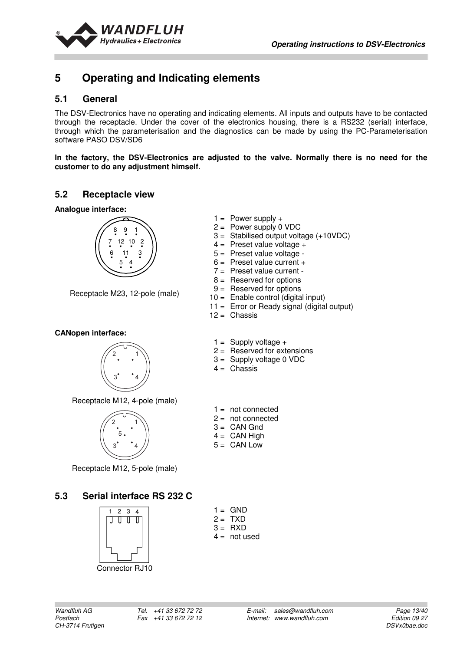

## **5 Operating and Indicating elements**

#### **5.1 General**

The DSV-Electronics have no operating and indicating elements. All inputs and outputs have to be contacted through the receptacle. Under the cover of the electronics housing, there is a RS232 (serial) interface, through which the parameterisation and the diagnostics can be made by using the PC-Parameterisation software PASO DSV/SD6

**In the factory, the DSV-Electronics are adjusted to the valve. Normally there is no need for the customer to do any adjustment himself.** 

#### **5.2 Receptacle view**

**Analogue interface:** 



Receptacle M23, 12-pole (male)

#### **CANopen interface:**



Receptacle M12, 4-pole (male)



Receptacle M12, 5-pole (male)

## **5.3 Serial interface RS 232 C**



Connector RJ10

|  | $1 =$ Power supply + |  |
|--|----------------------|--|
|--|----------------------|--|

- 2 = Power supply 0 VDC
- 3 = Stabilised output voltage (+10VDC)
- $4 =$  Preset value voltage  $+$
- 5 = Preset value voltage -
- $6 =$  Preset value current  $+$
- 7 = Preset value current -
- 8 = Reserved for options
- 9 = Reserved for options
- 10 = Enable control (digital input)
- 11 = Error or Ready signal (digital output)
- $12 =$ Chassis
- $1 =$  Supply voltage +
- 2 = Reserved for extensions
- 3 = Supply voltage 0 VDC
- $4 =$  Chassis
- $1 = not connected$
- $2 =$  not connected
- $3 =$  CAN Gnd
- $4 =$  CAN High
- $5 =$  CAN Low

 $1 =$  GND  $2 = TXD$  $3 = RXD$  $4 = not used$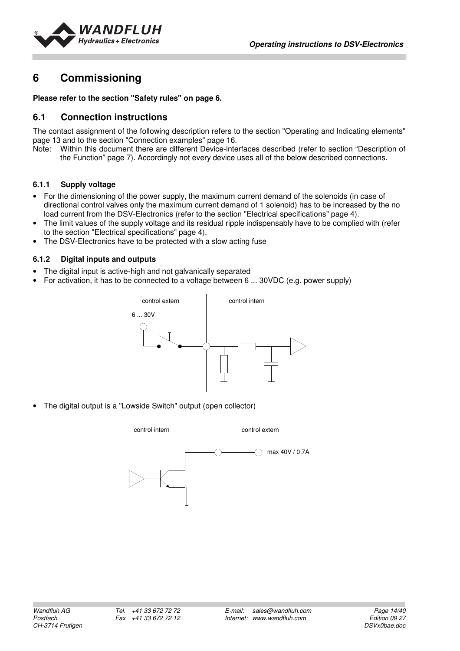

## **6 Commissioning**

**Please refer to the section "Safety rules" on page 6.** 

#### **6.1 Connection instructions**

The contact assignment of the following description refers to the section "Operating and Indicating elements" page 13 and to the section "Connection examples" page 16.<br>Note: Within this document there are different Device-inte

Within this document there are different Device-interfaces described (refer to section "Description of the Function" page 7). Accordingly not every device uses all of the below described connections.

#### **6.1.1 Supply voltage**

- For the dimensioning of the power supply, the maximum current demand of the solenoids (in case of directional control valves only the maximum current demand of 1 solenoid) has to be increased by the no load current from the DSV-Electronics (refer to the section "Electrical specifications" page 4).
- The limit values of the supply voltage and its residual ripple indispensably have to be complied with (refer to the section "Electrical specifications" page 4).
- The DSV-Electronics have to be protected with a slow acting fuse

#### **6.1.2 Digital inputs and outputs**

- The digital input is active-high and not galvanically separated
- For activation, it has to be connected to a voltage between 6 ... 30VDC (e.g. power supply)



The digital output is a "Lowside Switch" output (open collector)

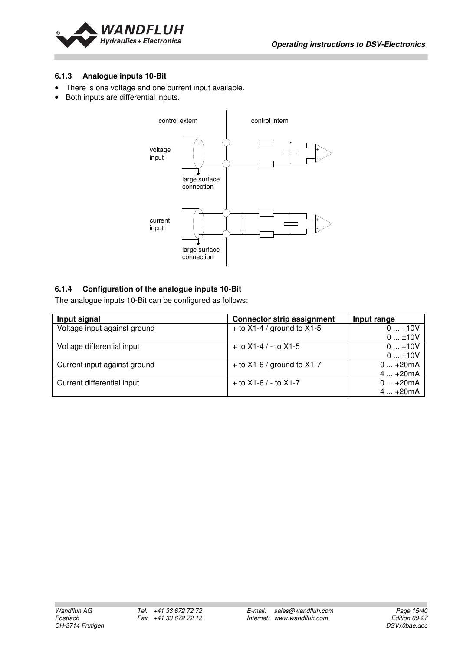

#### **6.1.3 Analogue inputs 10-Bit**

- There is one voltage and one current input available.
- Both inputs are differential inputs.



#### **6.1.4 Configuration of the analogue inputs 10-Bit**

The analogue inputs 10-Bit can be configured as follows:

| Input signal                 | <b>Connector strip assignment</b> | Input range |
|------------------------------|-----------------------------------|-------------|
| Voltage input against ground | $+$ to X1-4 / ground to X1-5      | $0+10V$     |
|                              |                                   | $0$ ±10V    |
| Voltage differential input   | $+$ to X1-4 / - to X1-5           | $0+10V$     |
|                              |                                   | $0$ ±10V    |
| Current input against ground | $+$ to X1-6 / ground to X1-7      | $0+20mA$    |
|                              |                                   | $4+20mA$    |
| Current differential input   | $+$ to X1-6 / - to X1-7           | $0+20mA$    |
|                              |                                   | $4+20mA$    |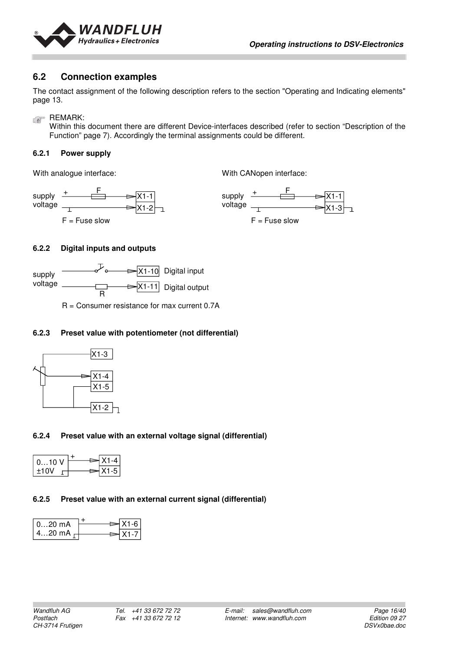

#### **6.2 Connection examples**

The contact assignment of the following description refers to the section "Operating and Indicating elements" page 13.

REMARK:

Within this document there are different Device-interfaces described (refer to section "Description of the Function" page 7). Accordingly the terminal assignments could be different.

#### **6.2.1 Power supply**

With analogue interface:

With CANopen interface:



#### **6.2.2 Digital inputs and outputs**



R = Consumer resistance for max current 0.7A

#### **6.2.3 Preset value with potentiometer (not differential)**



#### **6.2.4 Preset value with an external voltage signal (differential)**

| $010$ V |  | (1–4   |
|---------|--|--------|
| ±10V    |  | ا 5-1≚ |

#### **6.2.5 Preset value with an external current signal (differential)**

| 020 mA                | X1-6 |
|-----------------------|------|
| 420 mA $_{\sqsubset}$ |      |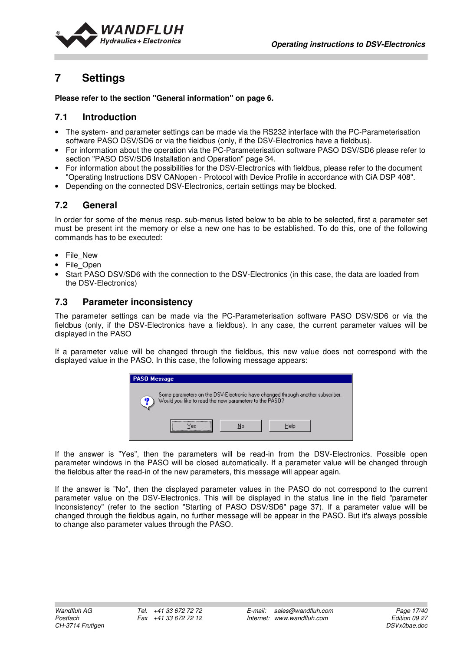

## **7 Settings**

**Please refer to the section "General information" on page 6.** 

#### **7.1 Introduction**

- The system- and parameter settings can be made via the RS232 interface with the PC-Parameterisation software PASO DSV/SD6 or via the fieldbus (only, if the DSV-Electronics have a fieldbus).
- For information about the operation via the PC-Parameterisation software PASO DSV/SD6 please refer to section "PASO DSV/SD6 Installation and Operation" page 34.
- For information about the possibilities for the DSV-Electronics with fieldbus, please refer to the document "Operating Instructions DSV CANopen - Protocol with Device Profile in accordance with CiA DSP 408".
- Depending on the connected DSV-Electronics, certain settings may be blocked.

## **7.2 General**

In order for some of the menus resp. sub-menus listed below to be able to be selected, first a parameter set must be present int the memory or else a new one has to be established. To do this, one of the following commands has to be executed:

- File New
- File\_Open
- Start PASO DSV/SD6 with the connection to the DSV-Electronics (in this case, the data are loaded from the DSV-Electronics)

## **7.3 Parameter inconsistency**

The parameter settings can be made via the PC-Parameterisation software PASO DSV/SD6 or via the fieldbus (only, if the DSV-Electronics have a fieldbus). In any case, the current parameter values will be displayed in the PASO

If a parameter value will be changed through the fieldbus, this new value does not correspond with the displayed value in the PASO. In this case, the following message appears:

| <b>PASO Message</b>                                          |                                                                                |
|--------------------------------------------------------------|--------------------------------------------------------------------------------|
| 61<br>Would you like to read the new parameters to the PASO? | Some parameters on the DSV-Electronic have changed through another subscriber. |
| Nn<br>∩es                                                    | Helo                                                                           |

If the answer is "Yes", then the parameters will be read-in from the DSV-Electronics. Possible open parameter windows in the PASO will be closed automatically. If a parameter value will be changed through the fieldbus after the read-in of the new parameters, this message will appear again.

If the answer is "No", then the displayed parameter values in the PASO do not correspond to the current parameter value on the DSV-Electronics. This will be displayed in the status line in the field "parameter Inconsistency" (refer to the section "Starting of PASO DSV/SD6" page 37). If a parameter value will be changed through the fieldbus again, no further message will be appear in the PASO. But it's always possible to change also parameter values through the PASO.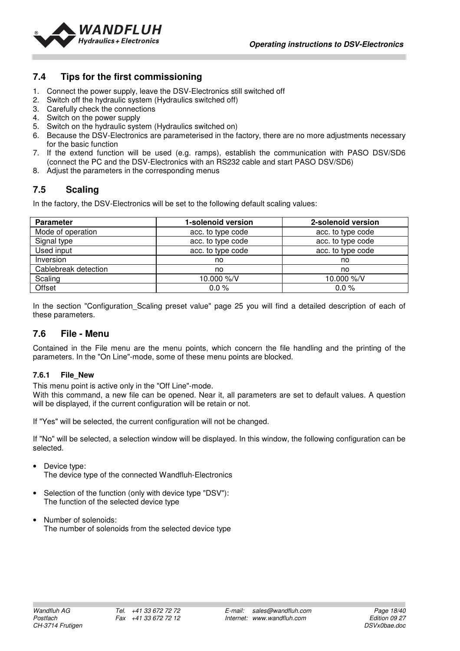

## **7.4 Tips for the first commissioning**

- 1. Connect the power supply, leave the DSV-Electronics still switched off
- 2. Switch off the hydraulic system (Hydraulics switched off)
- 3. Carefully check the connections
- 4. Switch on the power supply
- 5. Switch on the hydraulic system (Hydraulics switched on)
- 6. Because the DSV-Electronics are parameterised in the factory, there are no more adjustments necessary for the basic function
- 7. If the extend function will be used (e.g. ramps), establish the communication with PASO DSV/SD6 (connect the PC and the DSV-Electronics with an RS232 cable and start PASO DSV/SD6)
- 8. Adjust the parameters in the corresponding menus

## **7.5 Scaling**

In the factory, the DSV-Electronics will be set to the following default scaling values:

| <b>Parameter</b>     | 1-solenoid version | 2-solenoid version |
|----------------------|--------------------|--------------------|
| Mode of operation    | acc. to type code  | acc. to type code  |
| Signal type          | acc. to type code  | acc. to type code  |
| Used input           | acc. to type code  | acc. to type code  |
| Inversion            | no                 | no                 |
| Cablebreak detection | no                 | no                 |
| Scaling              | 10.000 %/V         | 10.000 %/V         |
| Offset               | 0.0%               | 0.0%               |

In the section "Configuration Scaling preset value" page 25 you will find a detailed description of each of these parameters.

## **7.6 File - Menu**

Contained in the File menu are the menu points, which concern the file handling and the printing of the parameters. In the "On Line"-mode, some of these menu points are blocked.

#### **7.6.1 File\_New**

This menu point is active only in the "Off Line"-mode.

With this command, a new file can be opened. Near it, all parameters are set to default values. A question will be displayed, if the current configuration will be retain or not.

If "Yes" will be selected, the current configuration will not be changed.

If "No" will be selected, a selection window will be displayed. In this window, the following configuration can be selected.

• Device type:

The device type of the connected Wandfluh-Electronics

- Selection of the function (only with device type "DSV"): The function of the selected device type
- Number of solenoids: The number of solenoids from the selected device type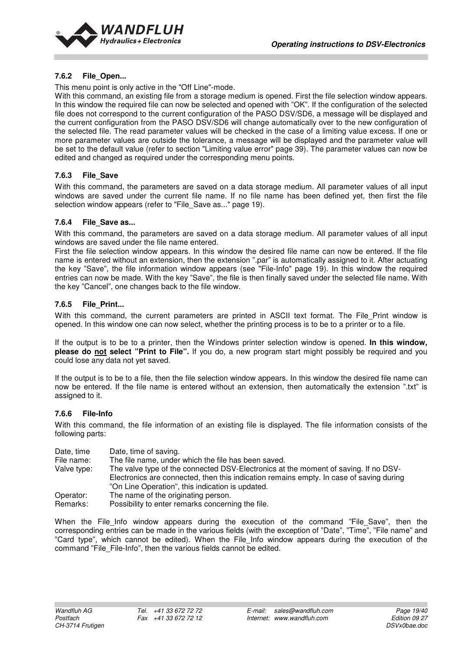

#### **7.6.2 File\_Open...**

This menu point is only active in the "Off Line"-mode.

With this command, an existing file from a storage medium is opened. First the file selection window appears. In this window the required file can now be selected and opened with "OK". If the configuration of the selected file does not correspond to the current configuration of the PASO DSV/SD6, a message will be displayed and the current configuration from the PASO DSV/SD6 will change automatically over to the new configuration of the selected file. The read parameter values will be checked in the case of a limiting value excess. If one or more parameter values are outside the tolerance, a message will be displayed and the parameter value will be set to the default value (refer to section "Limiting value error" page 39). The parameter values can now be edited and changed as required under the corresponding menu points.

#### **7.6.3 File\_Save**

With this command, the parameters are saved on a data storage medium. All parameter values of all input windows are saved under the current file name. If no file name has been defined yet, then first the file selection window appears (refer to "File Save as..." page 19).

#### **7.6.4 File\_Save as...**

With this command, the parameters are saved on a data storage medium. All parameter values of all input windows are saved under the file name entered.

First the file selection window appears. In this window the desired file name can now be entered. If the file name is entered without an extension, then the extension ".par" is automatically assigned to it. After actuating the key "Save", the file information window appears (see "File-Info" page 19). In this window the required entries can now be made. With the key "Save", the file is then finally saved under the selected file name. With the key "Cancel", one changes back to the file window.

#### **7.6.5 File\_Print...**

With this command, the current parameters are printed in ASCII text format. The File\_Print window is opened. In this window one can now select, whether the printing process is to be to a printer or to a file.

If the output is to be to a printer, then the Windows printer selection window is opened. **In this window, please do not select "Print to File".** If you do, a new program start might possibly be required and you could lose any data not yet saved.

If the output is to be to a file, then the file selection window appears. In this window the desired file name can now be entered. If the file name is entered without an extension, then automatically the extension ".txt" is assigned to it.

#### **7.6.6 File-Info**

With this command, the file information of an existing file is displayed. The file information consists of the following parts:

| Date, time | Date, time of saving. |
|------------|-----------------------|
|------------|-----------------------|

File name: The file name, under which the file has been saved.

Valve type: The valve type of the connected DSV-Electronics at the moment of saving. If no DSV- Electronics are connected, then this indication remains empty. In case of saving during "On Line Operation", this indication is updated.

Operator: The name of the originating person.<br>
Remarks: Possibility to enter remarks concern Possibility to enter remarks concerning the file.

When the File\_Info window appears during the execution of the command "File\_Save", then the corresponding entries can be made in the various fields (with the exception of "Date", "Time", "File name" and "Card type", which cannot be edited). When the File\_Info window appears during the execution of the command "File\_File-Info", then the various fields cannot be edited.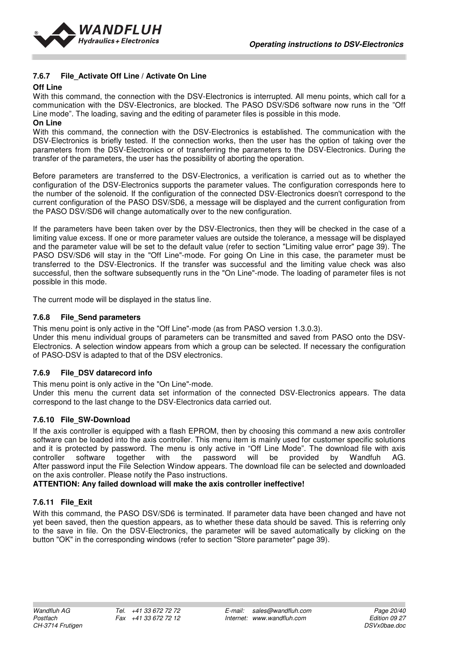

#### **7.6.7 File\_Activate Off Line / Activate On Line**

#### **Off Line**

With this command, the connection with the DSV-Electronics is interrupted. All menu points, which call for a communication with the DSV-Electronics, are blocked. The PASO DSV/SD6 software now runs in the "Off Line mode". The loading, saving and the editing of parameter files is possible in this mode. **On Line** 

With this command, the connection with the DSV-Electronics is established. The communication with the DSV-Electronics is briefly tested. If the connection works, then the user has the option of taking over the parameters from the DSV-Electronics or of transferring the parameters to the DSV-Electronics. During the transfer of the parameters, the user has the possibility of aborting the operation.

Before parameters are transferred to the DSV-Electronics, a verification is carried out as to whether the configuration of the DSV-Electronics supports the parameter values. The configuration corresponds here to the number of the solenoid. If the configuration of the connected DSV-Electronics doesn't correspond to the current configuration of the PASO DSV/SD6, a message will be displayed and the current configuration from the PASO DSV/SD6 will change automatically over to the new configuration.

If the parameters have been taken over by the DSV-Electronics, then they will be checked in the case of a limiting value excess. If one or more parameter values are outside the tolerance, a message will be displayed and the parameter value will be set to the default value (refer to section "Limiting value error" page 39). The PASO DSV/SD6 will stay in the "Off Line"-mode. For going On Line in this case, the parameter must be transferred to the DSV-Electronics. If the transfer was successful and the limiting value check was also successful, then the software subsequently runs in the "On Line"-mode. The loading of parameter files is not possible in this mode.

The current mode will be displayed in the status line.

#### **7.6.8 File\_Send parameters**

This menu point is only active in the "Off Line"-mode (as from PASO version 1.3.0.3).

Under this menu individual groups of parameters can be transmitted and saved from PASO onto the DSV-Electronics. A selection window appears from which a group can be selected. If necessary the configuration of PASO-DSV is adapted to that of the DSV electronics.

#### **7.6.9 File\_DSV datarecord info**

This menu point is only active in the "On Line"-mode.

Under this menu the current data set information of the connected DSV-Electronics appears. The data correspond to the last change to the DSV-Electronics data carried out.

#### **7.6.10 File\_SW-Download**

If the axis controller is equipped with a flash EPROM, then by choosing this command a new axis controller software can be loaded into the axis controller. This menu item is mainly used for customer specific solutions and it is protected by password. The menu is only active in "Off Line Mode". The download file with axis controller software together with the password will be provided by Wandfuh AG. After password input the File Selection Window appears. The download file can be selected and downloaded on the axis controller. Please notify the Paso instructions.

#### **ATTENTION: Any failed download will make the axis controller ineffective!**

#### **7.6.11 File\_Exit**

With this command, the PASO DSV/SD6 is terminated. If parameter data have been changed and have not yet been saved, then the question appears, as to whether these data should be saved. This is referring only to the save in file. On the DSV-Electronics, the parameter will be saved automatically by clicking on the button "OK" in the corresponding windows (refer to section "Store parameter" page 39).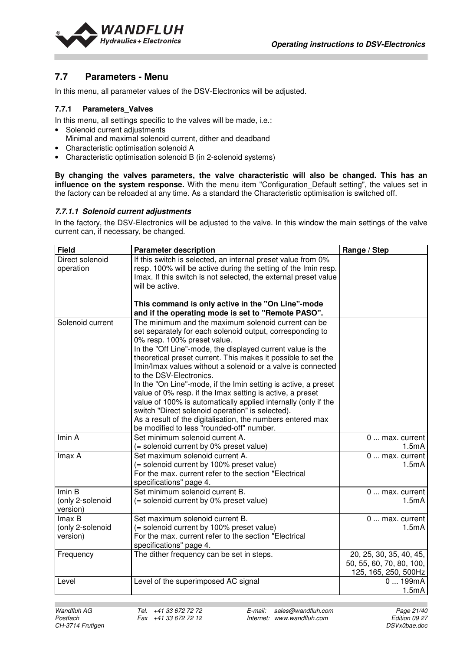

## **7.7 Parameters - Menu**

In this menu, all parameter values of the DSV-Electronics will be adjusted.

#### **7.7.1 Parameters\_Valves**

In this menu, all settings specific to the valves will be made, i.e.:

- Solenoid current adjustments
- Minimal and maximal solenoid current, dither and deadband
- Characteristic optimisation solenoid A
- Characteristic optimisation solenoid B (in 2-solenoid systems)

**By changing the valves parameters, the valve characteristic will also be changed. This has an influence on the system response.** With the menu item "Configuration Default setting", the values set in the factory can be reloaded at any time. As a standard the Characteristic optimisation is switched off.

#### **7.7.1.1 Solenoid current adjustments**

In the factory, the DSV-Electronics will be adjusted to the valve. In this window the main settings of the valve current can, if necessary, be changed.

| <b>Field</b>     | <b>Parameter description</b>                                                                                                   | Range / Step                   |
|------------------|--------------------------------------------------------------------------------------------------------------------------------|--------------------------------|
| Direct solenoid  | If this switch is selected, an internal preset value from 0%<br>resp. 100% will be active during the setting of the Imin resp. |                                |
| operation        | Imax. If this switch is not selected, the external preset value                                                                |                                |
|                  | will be active.                                                                                                                |                                |
|                  |                                                                                                                                |                                |
|                  | This command is only active in the "On Line"-mode                                                                              |                                |
|                  | and if the operating mode is set to "Remote PASO".                                                                             |                                |
| Solenoid current | The minimum and the maximum solenoid current can be                                                                            |                                |
|                  | set separately for each solenoid output, corresponding to                                                                      |                                |
|                  | 0% resp. 100% preset value.                                                                                                    |                                |
|                  | In the "Off Line"-mode, the displayed current value is the                                                                     |                                |
|                  | theoretical preset current. This makes it possible to set the                                                                  |                                |
|                  | Imin/Imax values without a solenoid or a valve is connected<br>to the DSV-Electronics.                                         |                                |
|                  |                                                                                                                                |                                |
|                  | In the "On Line"-mode, if the Imin setting is active, a preset<br>value of 0% resp. if the Imax setting is active, a preset    |                                |
|                  | value of 100% is automatically applied internally (only if the                                                                 |                                |
|                  | switch "Direct solenoid operation" is selected).                                                                               |                                |
|                  | As a result of the digitalisation, the numbers entered max                                                                     |                                |
|                  | be modified to less "rounded-off" number.                                                                                      |                                |
| Imin A           | Set minimum solenoid current A.                                                                                                | 0  max. current                |
|                  | (= solenoid current by 0% preset value)                                                                                        | 1.5mA                          |
| Imax A           | Set maximum solenoid current A.                                                                                                | 0  max. current                |
|                  | (= solenoid current by 100% preset value)                                                                                      | 1.5mA                          |
|                  | For the max. current refer to the section "Electrical                                                                          |                                |
|                  | specifications" page 4.                                                                                                        |                                |
| Imin B           | Set minimum solenoid current B.                                                                                                | 0  max. current                |
| (only 2-solenoid | (= solenoid current by 0% preset value)                                                                                        | 1.5mA                          |
| version)         |                                                                                                                                |                                |
| Imax B           | Set maximum solenoid current B.                                                                                                | 0  max. current                |
| (only 2-solenoid | (= solenoid current by 100% preset value)                                                                                      | 1.5mA                          |
| version)         | For the max. current refer to the section "Electrical                                                                          |                                |
|                  | specifications" page 4.                                                                                                        |                                |
| Frequency        | The dither frequency can be set in steps.                                                                                      | 20, 25, 30, 35, 40, 45,        |
|                  |                                                                                                                                | 50, 55, 60, 70, 80, 100,       |
|                  |                                                                                                                                | 125, 165, 250, 500Hz<br>0199mA |
| Level            | Level of the superimposed AC signal                                                                                            | 1.5mA                          |
|                  |                                                                                                                                |                                |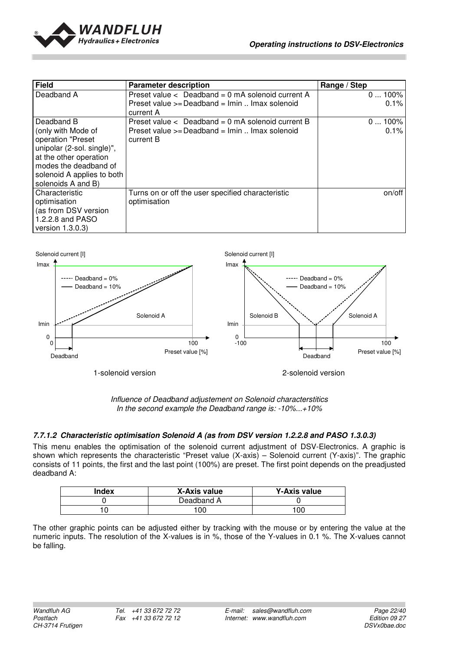

| <b>Field</b>               | <b>Parameter description</b>                              | Range / Step |
|----------------------------|-----------------------------------------------------------|--------------|
| Deadband A                 | Preset value $\langle$ Deadband = 0 mA solenoid current A | $0100\%$     |
|                            | Preset value >= Deadband = Imin  Imax solenoid            | 0.1%         |
|                            | current A                                                 |              |
| Deadband B                 | Preset value $\langle$ Deadband = 0 mA solenoid current B | $0100\%$     |
| (only with Mode of         | Preset value >= Deadband = Imin  Imax solenoid            | 0.1%         |
| operation "Preset          | current B                                                 |              |
| unipolar (2-sol. single)", |                                                           |              |
| at the other operation     |                                                           |              |
| modes the deadband of      |                                                           |              |
| solenoid A applies to both |                                                           |              |
| solenoids A and B)         |                                                           |              |
| Characteristic             | Turns on or off the user specified characteristic         | on/off       |
| optimisation               | optimisation                                              |              |
| (as from DSV version       |                                                           |              |
| 1.2.2.8 and PASO           |                                                           |              |
| version $1.3.0.3$ )        |                                                           |              |



Influence of Deadband adjustement on Solenoid characterstitics In the second example the Deadband range is: -10%...+10%

#### **7.7.1.2 Characteristic optimisation Solenoid A (as from DSV version 1.2.2.8 and PASO 1.3.0.3)**

This menu enables the optimisation of the solenoid current adjustment of DSV-Electronics. A graphic is shown which represents the characteristic "Preset value (X-axis) – Solenoid current (Y-axis)". The graphic consists of 11 points, the first and the last point (100%) are preset. The first point depends on the preadjusted deadband A:

| Index | X-Axis value | Y-Axis value |
|-------|--------------|--------------|
|       | Deadband A   |              |
|       | 00           | 100          |

The other graphic points can be adjusted either by tracking with the mouse or by entering the value at the numeric inputs. The resolution of the X-values is in %, those of the Y-values in 0.1 %. The X-values cannot be falling.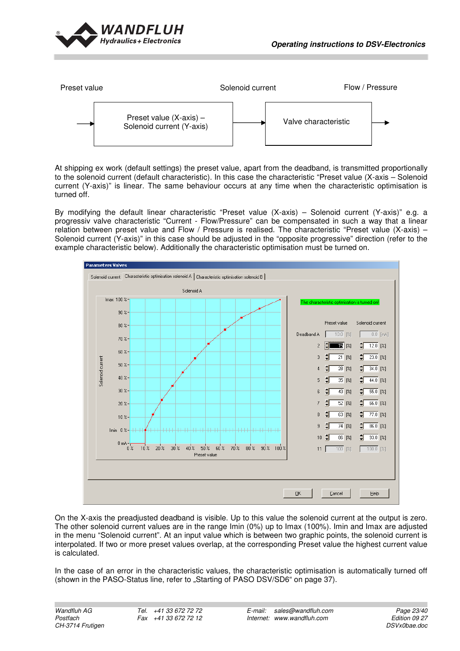



At shipping ex work (default settings) the preset value, apart from the deadband, is transmitted proportionally to the solenoid current (default characteristic). In this case the characteristic "Preset value (X-axis – Solenoid current (Y-axis)" is linear. The same behaviour occurs at any time when the characteristic optimisation is turned off.

By modifying the default linear characteristic "Preset value (X-axis) – Solenoid current (Y-axis)" e.g. a progressiv valve characteristic "Current - Flow/Pressure" can be compensated in such a way that a linear relation between preset value and Flow / Pressure is realised. The characteristic "Preset value (X-axis) – Solenoid current (Y-axis)" in this case should be adjusted in the "opposite progressive" direction (refer to the example characteristic below). Additionally the characteristic optimisation must be turned on.



On the X-axis the preadjusted deadband is visible. Up to this value the solenoid current at the output is zero. The other solenoid current values are in the range Imin (0%) up to Imax (100%). Imin and Imax are adjusted in the menu "Solenoid current". At an input value which is between two graphic points, the solenoid current is interpolated. If two or more preset values overlap, at the corresponding Preset value the highest current value is calculated.

In the case of an error in the characteristic values, the characteristic optimisation is automatically turned off (shown in the PASO-Status line, refer to "Starting of PASO DSV/SD6" on page 37).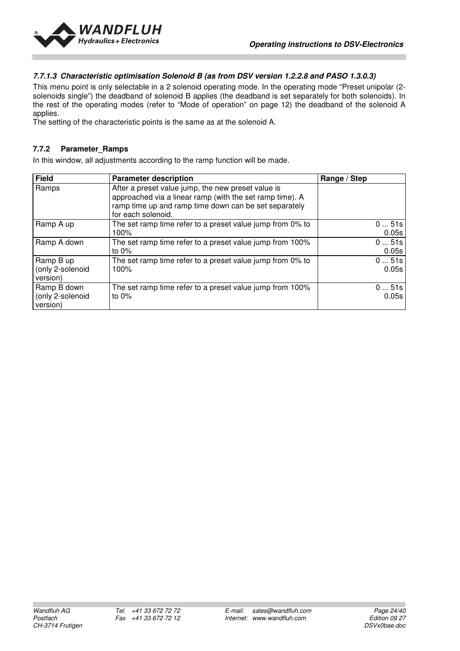

#### **7.7.1.3 Characteristic optimisation Solenoid B (as from DSV version 1.2.2.8 and PASO 1.3.0.3)**

This menu point is only selectable in a 2 solenoid operating mode. In the operating mode "Preset unipolar (2 solenoids single") the deadband of solenoid B applies (the deadband is set separately for both solenoids). In the rest of the operating modes (refer to "Mode of operation" on page 12) the deadband of the solenoid A applies.

The setting of the characteristic points is the same as at the solenoid A.

#### **7.7.2 Parameter\_Ramps**

In this window, all adjustments according to the ramp function will be made.

| <b>Field</b>     | <b>Parameter description</b>                              | Range / Step |
|------------------|-----------------------------------------------------------|--------------|
| Ramps            | After a preset value jump, the new preset value is        |              |
|                  | approached via a linear ramp (with the set ramp time). A  |              |
|                  | ramp time up and ramp time down can be set separately     |              |
|                  | for each solenoid.                                        |              |
| Ramp A up        | The set ramp time refer to a preset value jump from 0% to | 051s         |
|                  | 100%                                                      | 0.05s        |
| Ramp A down      | The set ramp time refer to a preset value jump from 100%  | 051s         |
|                  | to $0\%$                                                  | 0.05s        |
| Ramp B up        | The set ramp time refer to a preset value jump from 0% to | 051s         |
| (only 2-solenoid | 100%                                                      | 0.05s        |
| version)         |                                                           |              |
| Ramp B down      | The set ramp time refer to a preset value jump from 100%  | 051s         |
| (only 2-solenoid | to $0\%$                                                  | 0.05s        |
| version)         |                                                           |              |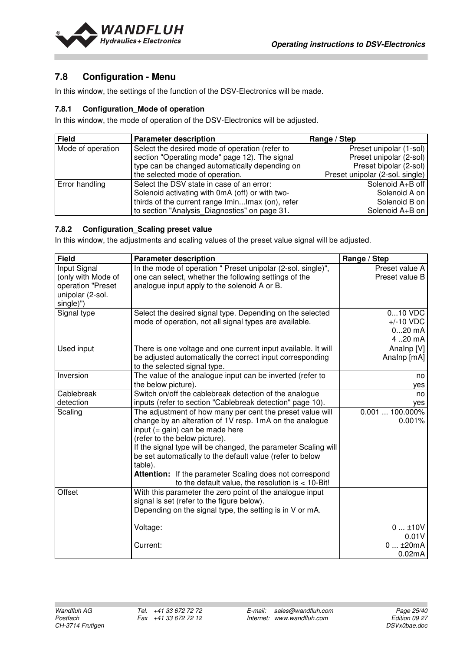

## **7.8 Configuration - Menu**

In this window, the settings of the function of the DSV-Electronics will be made.

#### **7.8.1 Configuration\_Mode of operation**

In this window, the mode of operation of the DSV-Electronics will be adjusted.

| <b>Field</b>      | <b>Parameter description</b>                     | Range / Step                    |
|-------------------|--------------------------------------------------|---------------------------------|
| Mode of operation | Select the desired mode of operation (refer to   | Preset unipolar (1-sol)         |
|                   | section "Operating mode" page 12). The signal    | Preset unipolar (2-sol)         |
|                   | type can be changed automatically depending on   | Preset bipolar (2-sol)          |
|                   | the selected mode of operation.                  | Preset unipolar (2-sol. single) |
| Error handling    | Select the DSV state in case of an error:        | Solenoid A+B off                |
|                   | Solenoid activating with 0mA (off) or with two-  | Solenoid A on                   |
|                   | thirds of the current range IminImax (on), refer | Solenoid B on                   |
|                   | to section "Analysis_Diagnostics" on page 31.    | Solenoid A+B on                 |

#### **7.8.2 Configuration\_Scaling preset value**

In this window, the adjustments and scaling values of the preset value signal will be adjusted.

| <b>Field</b>                                                                             | <b>Parameter description</b>                                                                                                                                                                                                                                                                                                                                                                                                                                  | Range / Step                                 |
|------------------------------------------------------------------------------------------|---------------------------------------------------------------------------------------------------------------------------------------------------------------------------------------------------------------------------------------------------------------------------------------------------------------------------------------------------------------------------------------------------------------------------------------------------------------|----------------------------------------------|
| Input Signal<br>(only with Mode of<br>operation "Preset<br>unipolar (2-sol.<br>single)") | In the mode of operation " Preset unipolar (2-sol. single)",<br>one can select, whether the following settings of the<br>analogue input apply to the solenoid A or B.                                                                                                                                                                                                                                                                                         | Preset value A<br>Preset value B             |
| Signal type                                                                              | Select the desired signal type. Depending on the selected<br>mode of operation, not all signal types are available.                                                                                                                                                                                                                                                                                                                                           | 010 VDC<br>$+/-10$ VDC<br>$020$ mA<br>420 mA |
| Used input                                                                               | There is one voltage and one current input available. It will<br>be adjusted automatically the correct input corresponding<br>to the selected signal type.                                                                                                                                                                                                                                                                                                    | Analnp [V]<br>Analnp [mA]                    |
| Inversion                                                                                | The value of the analogue input can be inverted (refer to<br>the below picture).                                                                                                                                                                                                                                                                                                                                                                              | no<br>yes                                    |
| Cablebreak<br>detection                                                                  | Switch on/off the cablebreak detection of the analogue<br>inputs (refer to section "Cablebreak detection" page 10).                                                                                                                                                                                                                                                                                                                                           | no<br>ves                                    |
| Scaling                                                                                  | The adjustment of how many per cent the preset value will<br>change by an alteration of 1V resp. 1mA on the analogue<br>input $(=$ gain) can be made here<br>(refer to the below picture).<br>If the signal type will be changed, the parameter Scaling will<br>be set automatically to the default value (refer to below<br>table).<br><b>Attention:</b> If the parameter Scaling does not correspond<br>to the default value, the resolution is $<$ 10-Bit! | $0.001100.000\%$<br>0.001%                   |
| Offset                                                                                   | With this parameter the zero point of the analogue input<br>signal is set (refer to the figure below).<br>Depending on the signal type, the setting is in V or mA.                                                                                                                                                                                                                                                                                            |                                              |
|                                                                                          | Voltage:                                                                                                                                                                                                                                                                                                                                                                                                                                                      | 010V<br>0.01V                                |
|                                                                                          | Current:                                                                                                                                                                                                                                                                                                                                                                                                                                                      | $0+20mA$<br>0.02mA                           |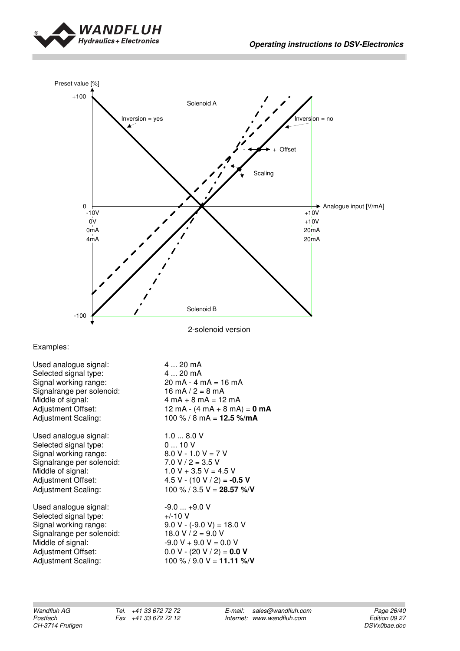



2-solenoid version

Examples:

Used analogue signal: 4 ... 20 mA Selected signal type:  $4 \dots 20$  mA<br>Signal working range:  $20$  mA - 4 mA = 16 mA Signal working range:  $20 \text{ mA} - 4 \text{ mA} = 1$ <br>Signalrange per solenoid:  $16 \text{ mA} / 2 = 8 \text{ mA}$ Signalrange per solenoid:<br>Middle of signal:

Used analogue signal: 1.0 ... 8.0 V Selected signal type:  $0... 10 \text{ V}$ <br>Signal working range:  $8.0 \text{ V} - 1.0 \text{ V} = 7 \text{ V}$ Signal working range:  $8.0 \text{ V} - 1.0 \text{ V} = 7$ <br>Signal range per solenoid:  $7.0 \text{ V} / 2 = 3.5 \text{ V}$ Signalrange per solenoid:<br>Middle of signal: Middle of signal:  $1.0 \text{ V} + 3.5 \text{ V} = 4.5 \text{ V}$ <br>Adjustment Offset:  $4.5 \text{ V} \cdot (10 \text{ V} / 2) = -0$ Adjustment Offset: 4.5 V - (10 V / 2) = **-0.5 V**<br>Adjustment Scaling: 100 % / 3.5 V = **28.57 %**/

Used analogue signal:  $-9.0 ... +9.0$  V Selected signal type:  $+/-10$  V Signal working range:  $9.0 \text{ V} - (-9.0 \text{ V}) = 18.0 \text{ V}$ <br>Signalrange per solenoid:  $18.0 \text{ V} / 2 = 9.0 \text{ V}$ Signalrange per solenoid:<br>Middle of signal: Adjustment Offset: 0.0 V - (20 V / 2) = **0.0 V**

 $4 mA + 8 mA = 12 mA$ Adjustment Offset: 12 mA - (4 mA + 8 mA) = **0 mA**<br>Adjustment Scaling: 100 % / 8 mA = **12.5 %/mA** 100 % / 8 mA =  $12.5$  %/mA

100 % / 3.5 V = **28.57 %/V** 

 $-9.0 V + 9.0 V = 0.0 V$ Adjustment Scaling: 100 % / 9.0 V = **11.11 %/V**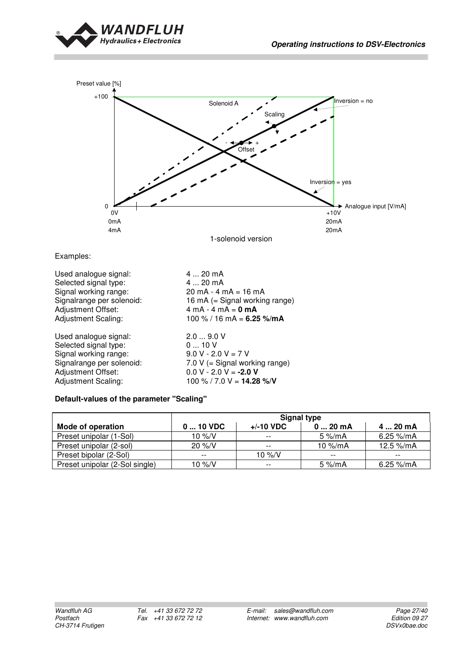



Examples:

Used analogue signal:  $4 \dots 20 \text{ mA}$ <br>Selected signal type:  $4 \dots 20 \text{ mA}$ Selected signal type:<br>Signal working range: Signal working range: 20 mA - 4 mA = 16 mA<br>Signalrange per solenoid: 16 mA (= Signal workin Adjustment Offset: 4 mA - 4 mA = **0 mA**<br>Adjustment Scaling: 100 % / 16 mA = **6.2** 

Used analogue signal: 2.0 ... 9.0 V Selected signal type:  $0 \dots 10 \text{ V}$ <br>Signal working range:  $9.0 \text{ V} - 2.0 \text{ V} = 7 \text{ V}$ Signal working range:<br>Signalrange per solenoid: Adjustment Offset: 0.0 V - 2.0 V = **-2.0 V**<br>Adjustment Scaling: 100 % / 7.0 V = **14.28** 

16 mA (= Signal working range)  $100 \% / 16 mA = 6.25 % / mA$ 

Signalrange per solenoid:  $7.0 \text{ V} (=$  Signal working range)<br>Adjustment Offset:  $0.0 \text{ V} - 2.0 \text{ V} = -2.0 \text{ V}$ 100 % / 7.0 V =  $14.28$  %/V

#### **Default-values of the parameter "Scaling"**

|                                | <b>Signal type</b> |                   |                     |                        |
|--------------------------------|--------------------|-------------------|---------------------|------------------------|
| <b>Mode of operation</b>       | $010$ VDC          | $+/-10$ VDC       | $020$ mA            | 4  20 mA               |
| Preset unipolar (1-Sol)        | 10 $\frac{9}{6}$ N | $- -$             | $5\%$ /mA           | 6.25 $\frac{9}{10}$ mA |
| Preset unipolar (2-sol)        | $20\%$ /V          | $- -$             | 10 $\frac{\%}{m}$ A | 12.5 $\frac{9}{10}$ mA |
| Preset bipolar (2-Sol)         | $- -$              | 10 $\frac{\%}{V}$ | $- -$               | $- -$                  |
| Preset unipolar (2-Sol single) | 10 $\frac{9}{5}$ N | $ -$              | 5 $\frac{\%}{m}$ A  | 6.25 %/mA              |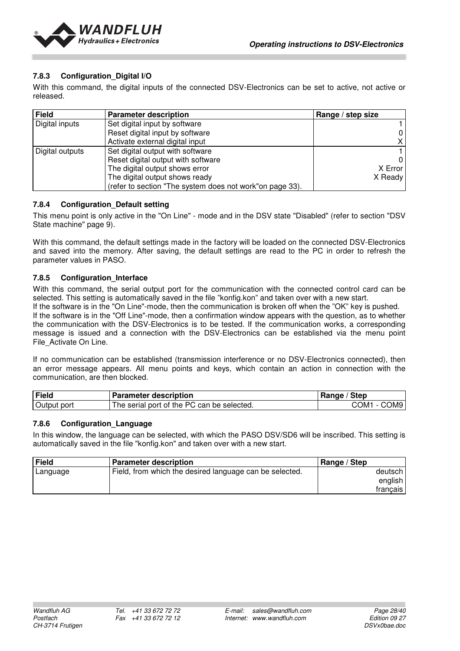

#### **7.8.3 Configuration\_Digital I/O**

With this command, the digital inputs of the connected DSV-Electronics can be set to active, not active or released.

| <b>Field</b>    | <b>Parameter description</b>                             | Range / step size |
|-----------------|----------------------------------------------------------|-------------------|
| Digital inputs  | Set digital input by software                            |                   |
|                 | Reset digital input by software                          |                   |
|                 | Activate external digital input                          |                   |
| Digital outputs | Set digital output with software                         |                   |
|                 | Reset digital output with software                       |                   |
|                 | The digital output shows error                           | X Error           |
|                 | The digital output shows ready                           | X Ready           |
|                 | (refer to section "The system does not work"on page 33). |                   |

#### **7.8.4 Configuration\_Default setting**

This menu point is only active in the "On Line" - mode and in the DSV state "Disabled" (refer to section "DSV State machine" page 9).

With this command, the default settings made in the factory will be loaded on the connected DSV-Electronics and saved into the memory. After saving, the default settings are read to the PC in order to refresh the parameter values in PASO.

#### **7.8.5 Configuration\_Interface**

With this command, the serial output port for the communication with the connected control card can be selected. This setting is automatically saved in the file "konfig.kon" and taken over with a new start.

If the software is in the "On Line"-mode, then the communication is broken off when the "OK" key is pushed. If the software is in the "Off Line"-mode, then a confirmation window appears with the question, as to whether the communication with the DSV-Electronics is to be tested. If the communication works, a corresponding message is issued and a connection with the DSV-Electronics can be established via the menu point File\_Activate On Line.

If no communication can be established (transmission interference or no DSV-Electronics connected), then an error message appears. All menu points and keys, which contain an action in connection with the communication, are then blocked.

| Field       | <b>Parameter description</b>               | ' Step<br>Range          |
|-------------|--------------------------------------------|--------------------------|
| Output port | The serial port of the PC can be selected. | COM9<br>COM <sup>2</sup> |

#### **7.8.6 Configuration\_Language**

In this window, the language can be selected, with which the PASO DSV/SD6 will be inscribed. This setting is automatically saved in the file "konfig.kon" and taken over with a new start.

| <b>Field</b> | <b>Parameter description</b>                            | Range / Step |
|--------------|---------------------------------------------------------|--------------|
| Language     | Field, from which the desired language can be selected. | deutsch l    |
|              |                                                         | english      |
|              |                                                         | francais     |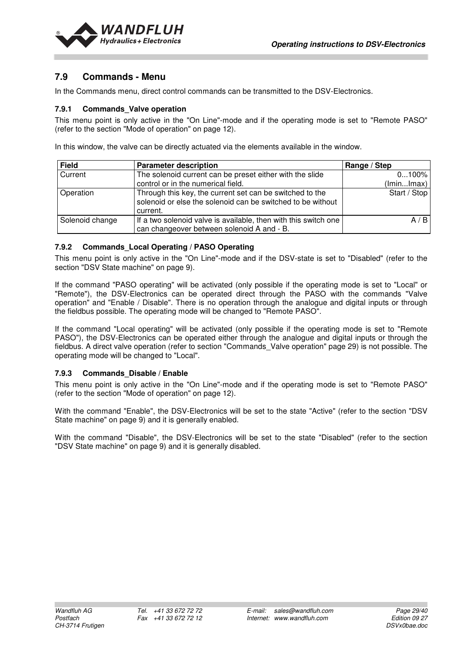

## **7.9 Commands - Menu**

In the Commands menu, direct control commands can be transmitted to the DSV-Electronics.

#### **7.9.1 Commands\_Valve operation**

This menu point is only active in the "On Line"-mode and if the operating mode is set to "Remote PASO" (refer to the section "Mode of operation" on page 12).

In this window, the valve can be directly actuated via the elements available in the window.

| <b>Field</b>    | <b>Parameter description</b>                                                                                                        | Range / Step |
|-----------------|-------------------------------------------------------------------------------------------------------------------------------------|--------------|
| Current         | The solenoid current can be preset either with the slide                                                                            | 0100%        |
|                 | control or in the numerical field.                                                                                                  | (lminlmax)   |
| Operation       | Through this key, the current set can be switched to the<br>solenoid or else the solenoid can be switched to be without<br>current. | Start / Stop |
| Solenoid change | If a two solenoid valve is available, then with this switch one<br>can changeover between solenoid A and - B.                       | A/B          |

#### **7.9.2 Commands\_Local Operating / PASO Operating**

This menu point is only active in the "On Line"-mode and if the DSV-state is set to "Disabled" (refer to the section "DSV State machine" on page 9).

If the command "PASO operating" will be activated (only possible if the operating mode is set to "Local" or "Remote"), the DSV-Electronics can be operated direct through the PASO with the commands "Valve operation" and "Enable / Disable". There is no operation through the analogue and digital inputs or through the fieldbus possible. The operating mode will be changed to "Remote PASO".

If the command "Local operating" will be activated (only possible if the operating mode is set to "Remote PASO"), the DSV-Electronics can be operated either through the analogue and digital inputs or through the fieldbus. A direct valve operation (refer to section "Commands\_Valve operation" page 29) is not possible. The operating mode will be changed to "Local".

#### **7.9.3 Commands\_Disable / Enable**

This menu point is only active in the "On Line"-mode and if the operating mode is set to "Remote PASO" (refer to the section "Mode of operation" on page 12).

With the command "Enable", the DSV-Electronics will be set to the state "Active" (refer to the section "DSV State machine" on page 9) and it is generally enabled.

With the command "Disable", the DSV-Electronics will be set to the state "Disabled" (refer to the section "DSV State machine" on page 9) and it is generally disabled.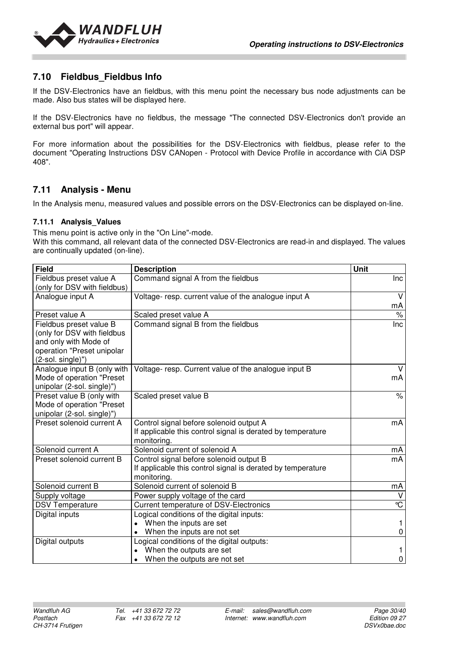

## **7.10 Fieldbus\_Fieldbus Info**

If the DSV-Electronics have an fieldbus, with this menu point the necessary bus node adjustments can be made. Also bus states will be displayed here.

If the DSV-Electronics have no fieldbus, the message "The connected DSV-Electronics don't provide an external bus port" will appear.

For more information about the possibilities for the DSV-Electronics with fieldbus, please refer to the document "Operating Instructions DSV CANopen - Protocol with Device Profile in accordance with CiA DSP 408".

#### **7.11 Analysis - Menu**

In the Analysis menu, measured values and possible errors on the DSV-Electronics can be displayed on-line.

#### **7.11.1 Analysis\_Values**

This menu point is active only in the "On Line"-mode.

With this command, all relevant data of the connected DSV-Electronics are read-in and displayed. The values are continually updated (on-line).

| <b>Field</b>                 | <b>Description</b>                                          | Unit                  |
|------------------------------|-------------------------------------------------------------|-----------------------|
| Fieldbus preset value A      | Command signal A from the fieldbus                          | <b>Inc</b>            |
| (only for DSV with fieldbus) |                                                             |                       |
| Analogue input A             | Voltage- resp. current value of the analogue input A        | $\vee$                |
|                              |                                                             | mA                    |
| Preset value A               | Scaled preset value A                                       | %                     |
| Fieldbus preset value B      | Command signal B from the fieldbus                          | Inc                   |
| (only for DSV with fieldbus  |                                                             |                       |
| and only with Mode of        |                                                             |                       |
| operation "Preset unipolar   |                                                             |                       |
| (2-sol. single)")            |                                                             |                       |
| Analogue input B (only with  | Voltage- resp. Current value of the analogue input B        |                       |
| Mode of operation "Preset    |                                                             | mA                    |
| unipolar (2-sol. single)")   |                                                             |                       |
| Preset value B (only with    | Scaled preset value B                                       | $\%$                  |
| Mode of operation "Preset    |                                                             |                       |
| unipolar (2-sol. single)")   |                                                             |                       |
| Preset solenoid current A    | Control signal before solenoid output A                     | mA                    |
|                              | If applicable this control signal is derated by temperature |                       |
|                              | monitoring.                                                 |                       |
| Solenoid current A           | Solenoid current of solenoid A                              | mA                    |
| Preset solenoid current B    | Control signal before solenoid output B                     | mA                    |
|                              | If applicable this control signal is derated by temperature |                       |
|                              | monitoring.                                                 |                       |
| Solenoid current B           | Solenoid current of solenoid B                              | mA                    |
| Supply voltage               | Power supply voltage of the card                            | v                     |
| <b>DSV Temperature</b>       | <b>Current temperature of DSV-Electronics</b>               | $\overline{\text{c}}$ |
| Digital inputs               | Logical conditions of the digital inputs:                   |                       |
|                              | When the inputs are set                                     |                       |
|                              | When the inputs are not set                                 | 0                     |
| Digital outputs              | Logical conditions of the digital outputs:                  |                       |
|                              | When the outputs are set                                    |                       |
|                              | When the outputs are not set<br>$\bullet$                   | 0                     |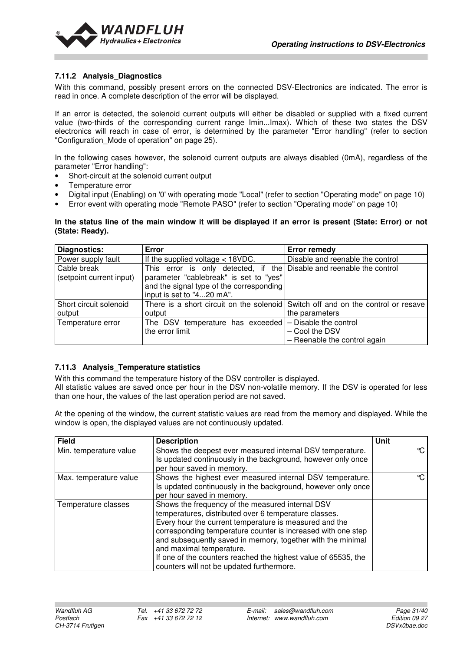

#### **7.11.2 Analysis\_Diagnostics**

With this command, possibly present errors on the connected DSV-Electronics are indicated. The error is read in once. A complete description of the error will be displayed.

If an error is detected, the solenoid current outputs will either be disabled or supplied with a fixed current value (two-thirds of the corresponding current range Imin...Imax). Which of these two states the DSV electronics will reach in case of error, is determined by the parameter "Error handling" (refer to section "Configuration Mode of operation" on page 25).

In the following cases however, the solenoid current outputs are always disabled (0mA), regardless of the parameter "Error handling":

- Short-circuit at the solenoid current output
- Temperature error
- Digital input (Enabling) on '0' with operating mode "Local" (refer to section "Operating mode" on page 10)
- Error event with operating mode "Remote PASO" (refer to section "Operating mode" on page 10)

#### **In the status line of the main window it will be displayed if an error is present (State: Error) or not (State: Ready).**

| <b>Diagnostics:</b>      | Error                                                                | <b>Error remedy</b>                                                              |
|--------------------------|----------------------------------------------------------------------|----------------------------------------------------------------------------------|
| Power supply fault       | If the supplied voltage $<$ 18VDC.                                   | Disable and reenable the control                                                 |
| Cable break              | This error is only detected, if the Disable and reenable the control |                                                                                  |
| (setpoint current input) | parameter "cablebreak" is set to "yes"                               |                                                                                  |
|                          | and the signal type of the corresponding                             |                                                                                  |
|                          | input is set to "420 mA".                                            |                                                                                  |
| Short circuit solenoid   |                                                                      | There is a short circuit on the solenoid Switch off and on the control or resave |
| output                   | output                                                               | the parameters                                                                   |
| Temperature error        | The DSV temperature has exceeded                                     | - Disable the control                                                            |
|                          | the error limit                                                      | - Cool the DSV                                                                   |
|                          |                                                                      | - Reenable the control again                                                     |

#### **7.11.3 Analysis\_Temperature statistics**

With this command the temperature history of the DSV controller is displayed.

All statistic values are saved once per hour in the DSV non-volatile memory. If the DSV is operated for less than one hour, the values of the last operation period are not saved.

At the opening of the window, the current statistic values are read from the memory and displayed. While the window is open, the displayed values are not continuously updated.

| <b>Field</b>           | <b>Description</b>                                             | <b>Unit</b>   |
|------------------------|----------------------------------------------------------------|---------------|
| Min. temperature value | Shows the deepest ever measured internal DSV temperature.      | $\mathcal{C}$ |
|                        | Is updated continuously in the background, however only once   |               |
|                        | per hour saved in memory.                                      |               |
| Max. temperature value | Shows the highest ever measured internal DSV temperature.      | °C            |
|                        | Is updated continuously in the background, however only once   |               |
|                        | per hour saved in memory.                                      |               |
| Temperature classes    | Shows the frequency of the measured internal DSV               |               |
|                        | temperatures, distributed over 6 temperature classes.          |               |
|                        | Every hour the current temperature is measured and the         |               |
|                        | corresponding temperature counter is increased with one step   |               |
|                        | and subsequently saved in memory, together with the minimal    |               |
|                        | and maximal temperature.                                       |               |
|                        | If one of the counters reached the highest value of 65535, the |               |
|                        | counters will not be updated furthermore.                      |               |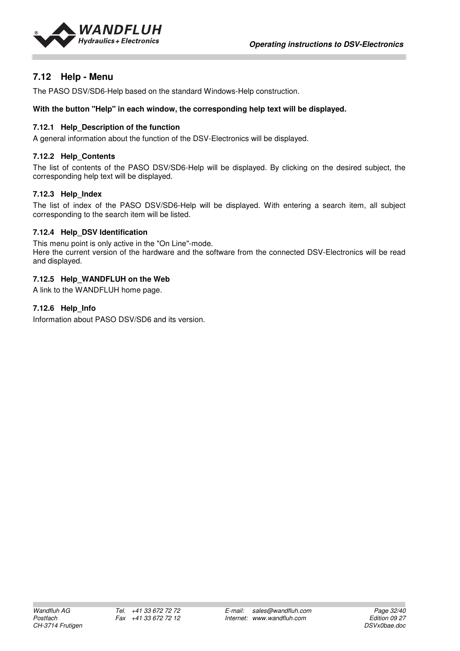

## **7.12 Help - Menu**

The PASO DSV/SD6-Help based on the standard Windows-Help construction.

#### **With the button "Help" in each window, the corresponding help text will be displayed.**

#### **7.12.1 Help\_Description of the function**

A general information about the function of the DSV-Electronics will be displayed.

#### **7.12.2 Help\_Contents**

The list of contents of the PASO DSV/SD6-Help will be displayed. By clicking on the desired subject, the corresponding help text will be displayed.

#### **7.12.3 Help\_Index**

The list of index of the PASO DSV/SD6-Help will be displayed. With entering a search item, all subject corresponding to the search item will be listed.

#### **7.12.4 Help\_DSV Identification**

This menu point is only active in the "On Line"-mode.

Here the current version of the hardware and the software from the connected DSV-Electronics will be read and displayed.

#### **7.12.5 Help\_WANDFLUH on the Web**

A link to the WANDFLUH home page.

#### **7.12.6 Help\_Info**

Information about PASO DSV/SD6 and its version.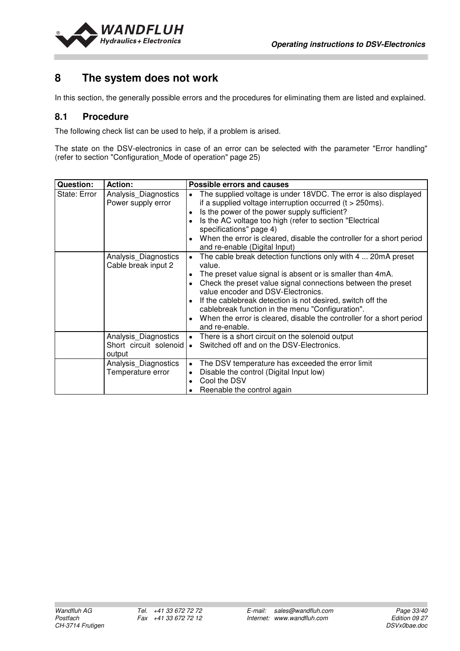

## **8 The system does not work**

In this section, the generally possible errors and the procedures for eliminating them are listed and explained.

#### **8.1 Procedure**

The following check list can be used to help, if a problem is arised.

The state on the DSV-electronics in case of an error can be selected with the parameter "Error handling" (refer to section "Configuration\_Mode of operation" page 25)

| <b>Question:</b> | <b>Action:</b>                                           | <b>Possible errors and causes</b>                                                                                                                                                                                                                                                                                                                                                                                                                     |
|------------------|----------------------------------------------------------|-------------------------------------------------------------------------------------------------------------------------------------------------------------------------------------------------------------------------------------------------------------------------------------------------------------------------------------------------------------------------------------------------------------------------------------------------------|
| State: Error     | Analysis_Diagnostics<br>Power supply error               | The supplied voltage is under 18VDC. The error is also displayed<br>if a supplied voltage interruption occurred $(t > 250 \text{ms})$ .<br>Is the power of the power supply sufficient?<br>Is the AC voltage too high (refer to section "Electrical<br>specifications" page 4)<br>When the error is cleared, disable the controller for a short period<br>and re-enable (Digital Input)                                                               |
|                  | Analysis Diagnostics<br>Cable break input 2              | The cable break detection functions only with 4  20mA preset<br>value.<br>The preset value signal is absent or is smaller than 4mA.<br>Check the preset value signal connections between the preset<br>value encoder and DSV-Electronics.<br>If the cablebreak detection is not desired, switch off the<br>cablebreak function in the menu "Configuration".<br>When the error is cleared, disable the controller for a short period<br>and re-enable. |
|                  | Analysis_Diagnostics<br>Short circuit solenoid<br>output | There is a short circuit on the solenoid output<br>$\bullet$<br>Switched off and on the DSV-Electronics.                                                                                                                                                                                                                                                                                                                                              |
|                  | Analysis_Diagnostics<br>Temperature error                | The DSV temperature has exceeded the error limit<br>$\bullet$<br>Disable the control (Digital Input low)<br>Cool the DSV<br>Reenable the control again                                                                                                                                                                                                                                                                                                |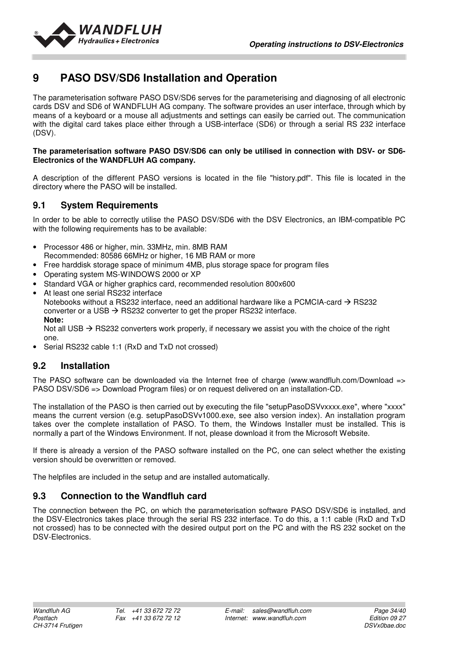

## **9 PASO DSV/SD6 Installation and Operation**

The parameterisation software PASO DSV/SD6 serves for the parameterising and diagnosing of all electronic cards DSV and SD6 of WANDFLUH AG company. The software provides an user interface, through which by means of a keyboard or a mouse all adjustments and settings can easily be carried out. The communication with the digital card takes place either through a USB-interface (SD6) or through a serial RS 232 interface (DSV).

#### **The parameterisation software PASO DSV/SD6 can only be utilised in connection with DSV- or SD6- Electronics of the WANDFLUH AG company.**

A description of the different PASO versions is located in the file "history.pdf". This file is located in the directory where the PASO will be installed.

## **9.1 System Requirements**

In order to be able to correctly utilise the PASO DSV/SD6 with the DSV Electronics, an IBM-compatible PC with the following requirements has to be available:

- Processor 486 or higher, min. 33MHz, min. 8MB RAM Recommended: 80586 66MHz or higher, 16 MB RAM or more
- Free harddisk storage space of minimum 4MB, plus storage space for program files
- Operating system MS-WINDOWS 2000 or XP
- Standard VGA or higher graphics card, recommended resolution 800x600
- At least one serial RS232 interface Notebooks without a RS232 interface, need an additional hardware like a PCMCIA-card  $\rightarrow$  RS232 converter or a USB  $\rightarrow$  RS232 converter to get the proper RS232 interface. **Note:**  Not all USB  $\rightarrow$  RS232 converters work properly, if necessary we assist you with the choice of the right

one.

• Serial RS232 cable 1:1 (RxD and TxD not crossed)

## **9.2 Installation**

The PASO software can be downloaded via the Internet free of charge (www.wandfluh.com/Download => PASO DSV/SD6 => Download Program files) or on request delivered on an installation-CD.

The installation of the PASO is then carried out by executing the file "setupPasoDSVvxxxx.exe", where "xxxx" means the current version (e.g. setupPasoDSVv1000.exe, see also version index). An installation program takes over the complete installation of PASO. To them, the Windows Installer must be installed. This is normally a part of the Windows Environment. If not, please download it from the Microsoft Website.

If there is already a version of the PASO software installed on the PC, one can select whether the existing version should be overwritten or removed.

The helpfiles are included in the setup and are installed automatically.

## **9.3 Connection to the Wandfluh card**

The connection between the PC, on which the parameterisation software PASO DSV/SD6 is installed, and the DSV-Electronics takes place through the serial RS 232 interface. To do this, a 1:1 cable (RxD and TxD not crossed) has to be connected with the desired output port on the PC and with the RS 232 socket on the DSV-Electronics.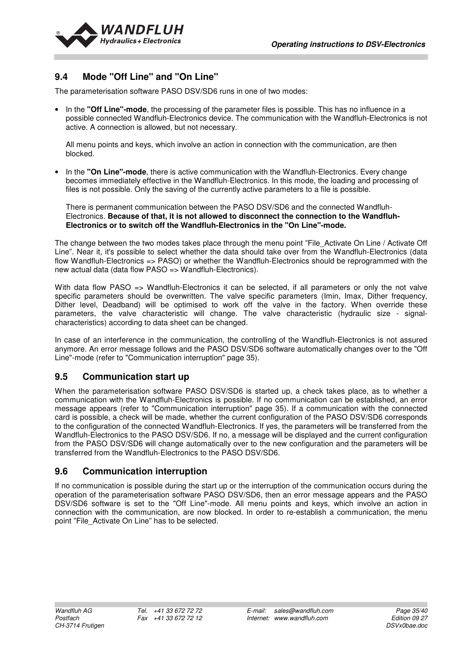

## **9.4 Mode "Off Line" and "On Line"**

The parameterisation software PASO DSV/SD6 runs in one of two modes:

• In the **"Off Line"-mode**, the processing of the parameter files is possible. This has no influence in a possible connected Wandfluh-Electronics device. The communication with the Wandfluh-Electronics is not active. A connection is allowed, but not necessary.

All menu points and keys, which involve an action in connection with the communication, are then blocked.

• In the **"On Line"-mode**, there is active communication with the Wandfluh-Electronics. Every change becomes immediately effective in the Wandfluh-Electronics. In this mode, the loading and processing of files is not possible. Only the saving of the currently active parameters to a file is possible.

There is permanent communication between the PASO DSV/SD6 and the connected Wandfluh-Electronics. **Because of that, it is not allowed to disconnect the connection to the Wandfluh-Electronics or to switch off the Wandfluh-Electronics in the "On Line"-mode.**

The change between the two modes takes place through the menu point "File Activate On Line / Activate Off Line". Near it, it's possible to select whether the data should take over from the Wandfluh-Electronics (data flow Wandfluh-Electronics => PASO) or whether the Wandfluh-Electronics should be reprogrammed with the new actual data (data flow PASO => Wandfluh-Electronics).

With data flow PASO => Wandfluh-Electronics it can be selected, if all parameters or only the not valve specific parameters should be overwritten. The valve specific parameters (Imin, Imax, Dither frequency, Dither level, Deadband) will be optimised to work off the valve in the factory. When override these parameters, the valve characteristic will change. The valve characteristic (hydraulic size - signalcharacteristics) according to data sheet can be changed.

In case of an interference in the communication, the controlling of the Wandfluh-Electronics is not assured anymore. An error message follows and the PASO DSV/SD6 software automatically changes over to the "Off Line"-mode (refer to "Communication interruption" page 35).

#### **9.5 Communication start up**

When the parameterisation software PASO DSV/SD6 is started up, a check takes place, as to whether a communication with the Wandfluh-Electronics is possible. If no communication can be established, an error message appears (refer to "Communication interruption" page 35). If a communication with the connected card is possible, a check will be made, whether the current configuration of the PASO DSV/SD6 corresponds to the configuration of the connected Wandfluh-Electronics. If yes, the parameters will be transferred from the Wandfluh-Electronics to the PASO DSV/SD6. If no, a message will be displayed and the current configuration from the PASO DSV/SD6 will change automatically over to the new configuration and the parameters will be transferred from the Wandfluh-Electronics to the PASO DSV/SD6.

#### **9.6 Communication interruption**

If no communication is possible during the start up or the interruption of the communication occurs during the operation of the parameterisation software PASO DSV/SD6, then an error message appears and the PASO DSV/SD6 software is set to the "Off Line"-mode. All menu points and keys, which involve an action in connection with the communication, are now blocked. In order to re-establish a communication, the menu point "File\_Activate On Line" has to be selected.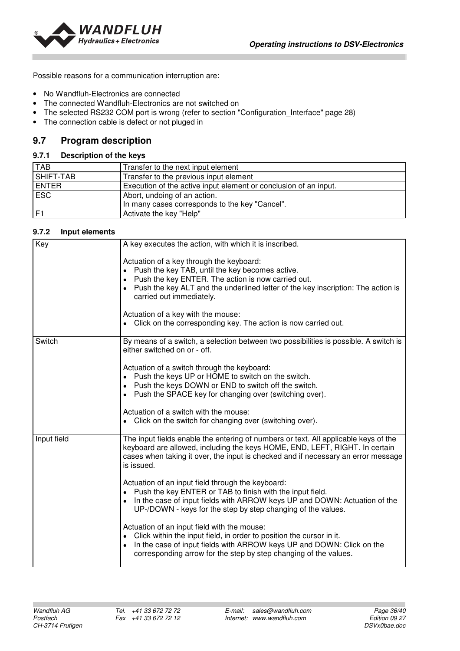

Possible reasons for a communication interruption are:

- No Wandfluh-Electronics are connected
- The connected Wandfluh-Electronics are not switched on
- The selected RS232 COM port is wrong (refer to section "Configuration Interface" page 28)
- The connection cable is defect or not pluged in

## **9.7 Program description**

#### **9.7.1 Description of the keys**

| <b>TAB</b>     | Transfer to the next input element                               |
|----------------|------------------------------------------------------------------|
| SHIFT-TAB      | Transfer to the previous input element                           |
| <b>ENTER</b>   | Execution of the active input element or conclusion of an input. |
| <b>ESC</b>     | Abort, undoing of an action.                                     |
|                | In many cases corresponds to the key "Cancel".                   |
| F <sub>1</sub> | Activate the key "Help"                                          |

#### **9.7.2 Input elements**

| Key         | A key executes the action, with which it is inscribed.                                                                                                                                                                                                                                                                                                                                 |
|-------------|----------------------------------------------------------------------------------------------------------------------------------------------------------------------------------------------------------------------------------------------------------------------------------------------------------------------------------------------------------------------------------------|
|             | Actuation of a key through the keyboard:<br>Push the key TAB, until the key becomes active.<br>Push the key ENTER. The action is now carried out.<br>$\bullet$<br>Push the key ALT and the underlined letter of the key inscription: The action is<br>carried out immediately.<br>Actuation of a key with the mouse:<br>Click on the corresponding key. The action is now carried out. |
|             |                                                                                                                                                                                                                                                                                                                                                                                        |
| Switch      | By means of a switch, a selection between two possibilities is possible. A switch is<br>either switched on or - off.                                                                                                                                                                                                                                                                   |
|             | Actuation of a switch through the keyboard:<br>Push the keys UP or HOME to switch on the switch.<br>Push the keys DOWN or END to switch off the switch.<br>Push the SPACE key for changing over (switching over).                                                                                                                                                                      |
|             |                                                                                                                                                                                                                                                                                                                                                                                        |
|             | Actuation of a switch with the mouse:<br>Click on the switch for changing over (switching over).                                                                                                                                                                                                                                                                                       |
| Input field | The input fields enable the entering of numbers or text. All applicable keys of the<br>keyboard are allowed, including the keys HOME, END, LEFT, RIGHT. In certain<br>cases when taking it over, the input is checked and if necessary an error message<br>is issued.                                                                                                                  |
|             | Actuation of an input field through the keyboard:<br>Push the key ENTER or TAB to finish with the input field.<br>In the case of input fields with ARROW keys UP and DOWN: Actuation of the<br>UP-/DOWN - keys for the step by step changing of the values.                                                                                                                            |
|             | Actuation of an input field with the mouse:<br>Click within the input field, in order to position the cursor in it.<br>In the case of input fields with ARROW keys UP and DOWN: Click on the<br>corresponding arrow for the step by step changing of the values.                                                                                                                       |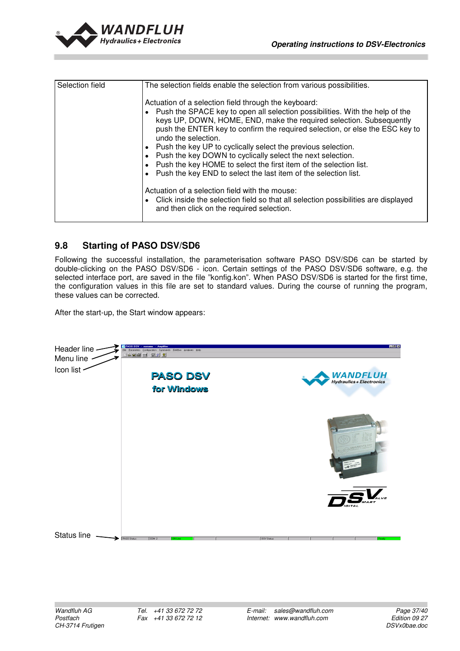

| Selection field | The selection fields enable the selection from various possibilities.                                                                                                                                                                                                                                                                                                                                                                                                                                                                                                                      |
|-----------------|--------------------------------------------------------------------------------------------------------------------------------------------------------------------------------------------------------------------------------------------------------------------------------------------------------------------------------------------------------------------------------------------------------------------------------------------------------------------------------------------------------------------------------------------------------------------------------------------|
|                 | Actuation of a selection field through the keyboard:<br>• Push the SPACE key to open all selection possibilities. With the help of the<br>keys UP, DOWN, HOME, END, make the required selection. Subsequently<br>push the ENTER key to confirm the required selection, or else the ESC key to<br>undo the selection.<br>Push the key UP to cyclically select the previous selection.<br>Push the key DOWN to cyclically select the next selection.<br>Push the key HOME to select the first item of the selection list.<br>Push the key END to select the last item of the selection list. |
|                 | Actuation of a selection field with the mouse:<br>Click inside the selection field so that all selection possibilities are displayed<br>and then click on the required selection.                                                                                                                                                                                                                                                                                                                                                                                                          |

## **9.8 Starting of PASO DSV/SD6**

Following the successful installation, the parameterisation software PASO DSV/SD6 can be started by double-clicking on the PASO DSV/SD6 - icon. Certain settings of the PASO DSV/SD6 software, e.g. the selected interface port, are saved in the file "konfig.kon". When PASO DSV/SD6 is started for the first time, the configuration values in this file are set to standard values. During the course of running the program, these values can be corrected.

After the start-up, the Start window appears:

| Header line -<br>Menu line - | <b>PASO DSV</b><br><b>Amplifier</b><br>$-$ noname<br>Eile<br>Parameters Configuration Commands Fieldbus Analyses Help<br>AD SO<br>$F2$ $F1$ |  |                    | $-6x$                                       |
|------------------------------|---------------------------------------------------------------------------------------------------------------------------------------------|--|--------------------|---------------------------------------------|
| Icon list                    | <b>PASO DSV</b><br>for Windows                                                                                                              |  |                    | <b>WANDFLUH</b><br>Hydraulics + Electronics |
|                              |                                                                                                                                             |  |                    |                                             |
|                              |                                                                                                                                             |  |                    | MART                                        |
| Status line                  | PASO Status:<br>[CDM2]<br><b>ON-Line</b>                                                                                                    |  | <b>DSV Status:</b> | Read,                                       |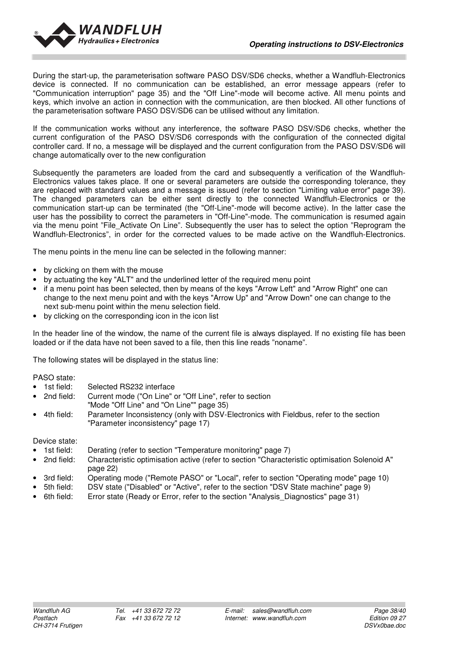

During the start-up, the parameterisation software PASO DSV/SD6 checks, whether a Wandfluh-Electronics device is connected. If no communication can be established, an error message appears (refer to "Communication interruption" page 35) and the "Off Line"-mode will become active. All menu points and keys, which involve an action in connection with the communication, are then blocked. All other functions of the parameterisation software PASO DSV/SD6 can be utilised without any limitation.

If the communication works without any interference, the software PASO DSV/SD6 checks, whether the current configuration of the PASO DSV/SD6 corresponds with the configuration of the connected digital controller card. If no, a message will be displayed and the current configuration from the PASO DSV/SD6 will change automatically over to the new configuration

Subsequently the parameters are loaded from the card and subsequently a verification of the Wandfluh-Electronics values takes place. If one or several parameters are outside the corresponding tolerance, they are replaced with standard values and a message is issued (refer to section "Limiting value error" page 39). The changed parameters can be either sent directly to the connected Wandfluh-Electronics or the communication start-up can be terminated (the "Off-Line"-mode will become active). In the latter case the user has the possibility to correct the parameters in "Off-Line"-mode. The communication is resumed again via the menu point "File\_Activate On Line". Subsequently the user has to select the option "Reprogram the Wandfluh-Electronics", in order for the corrected values to be made active on the Wandfluh-Electronics.

The menu points in the menu line can be selected in the following manner:

- by clicking on them with the mouse
- by actuating the key "ALT" and the underlined letter of the required menu point
- if a menu point has been selected, then by means of the keys "Arrow Left" and "Arrow Right" one can change to the next menu point and with the keys "Arrow Up" and "Arrow Down" one can change to the next sub-menu point within the menu selection field.
- by clicking on the corresponding icon in the icon list

In the header line of the window, the name of the current file is always displayed. If no existing file has been loaded or if the data have not been saved to a file, then this line reads "noname".

The following states will be displayed in the status line:

PASO state:

- 1st field: Selected RS232 interface<br>• 2nd field: Current mode ("On Line" of
- Current mode ("On Line" or "Off Line", refer to section "Mode "Off Line" and "On Line"" page 35)
- 4th field: Parameter Inconsistency (only with DSV-Electronics with Fieldbus, refer to the section "Parameter inconsistency" page 17)

Device state:

- 1st field: Derating (refer to section "Temperature monitoring" page 7)
- 2nd field: Characteristic optimisation active (refer to section "Characteristic optimisation Solenoid A" page 22)
- 3rd field: Operating mode ("Remote PASO" or "Local", refer to section "Operating mode" page 10)<br>5th field: DSV state ("Disabled" or "Active", refer to the section "DSV State machine" page 9)
- DSV state ("Disabled" or "Active", refer to the section "DSV State machine" page 9)
- 6th field: Error state (Ready or Error, refer to the section "Analysis\_Diagnostics" page 31)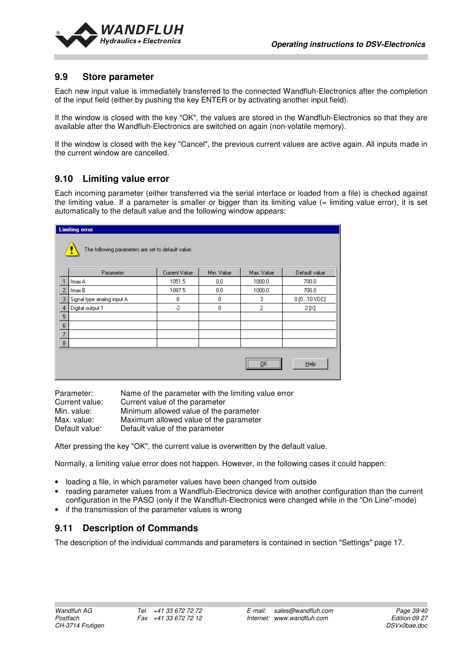

## **9.9 Store parameter**

Each new input value is immediately transferred to the connected Wandfluh-Electronics after the completion of the input field (either by pushing the key ENTER or by activating another input field).

If the window is closed with the key "OK", the values are stored in the Wandfluh-Electronics so that they are available after the Wandfluh-Electronics are switched on again (non-volatile memory).

If the window is closed with the key "Cancel", the previous current values are active again. All inputs made in the current window are cancelled.

## **9.10 Limiting value error**

Each incoming parameter (either transferred via the serial interface or loaded from a file) is checked against the limiting value. If a parameter is smaller or bigger than its limiting value  $(=$  limiting value error), it is set automatically to the default value and the following window appears:

| <b>Limiting error</b><br>The following parameters are set to default value:<br>I. |                            |               |            |            |               |
|-----------------------------------------------------------------------------------|----------------------------|---------------|------------|------------|---------------|
|                                                                                   | Parameter                  | Current Value | Min. Value | Max. Value | Default value |
|                                                                                   | Imax A                     | 1051.5        | 0.0        | 1000.0     | 700.0         |
| $\overline{2}$                                                                    | Imax B                     | 1087.5        | 0.0        | 1000.0     | 700.0         |
| -3                                                                                | Signal type analog input A | 8             | 0          | 3          | 0 [010 VDC]   |
| $\overline{4}$                                                                    | Digital output 1           | $-2$          | 0          | 2          | 2 [X]         |
| 5 <sub>5</sub>                                                                    |                            |               |            |            |               |
| $\sf 6$                                                                           |                            |               |            |            |               |
| $\overline{7}$                                                                    |                            |               |            |            |               |
| 8                                                                                 |                            |               |            |            |               |
|                                                                                   |                            |               |            | <br>ŪΚ<br> | Help          |

| Parameter:     | Name of the parameter with the limiting value error |
|----------------|-----------------------------------------------------|
| Current value: | Current value of the parameter                      |
| Min. value:    | Minimum allowed value of the parameter              |
| Max. value:    | Maximum allowed value of the parameter              |
| Default value: | Default value of the parameter                      |

After pressing the key "OK", the current value is overwritten by the default value.

Normally, a limiting value error does not happen. However, in the following cases it could happen:

- loading a file, in which parameter values have been changed from outside
- reading parameter values from a Wandfluh-Electronics device with another configuration than the current configuration in the PASO (only if the Wandfluh-Electronics were changed while in the "On Line"-mode)
- if the transmission of the parameter values is wrong

## **9.11 Description of Commands**

The description of the individual commands and parameters is contained in section "Settings" page 17.